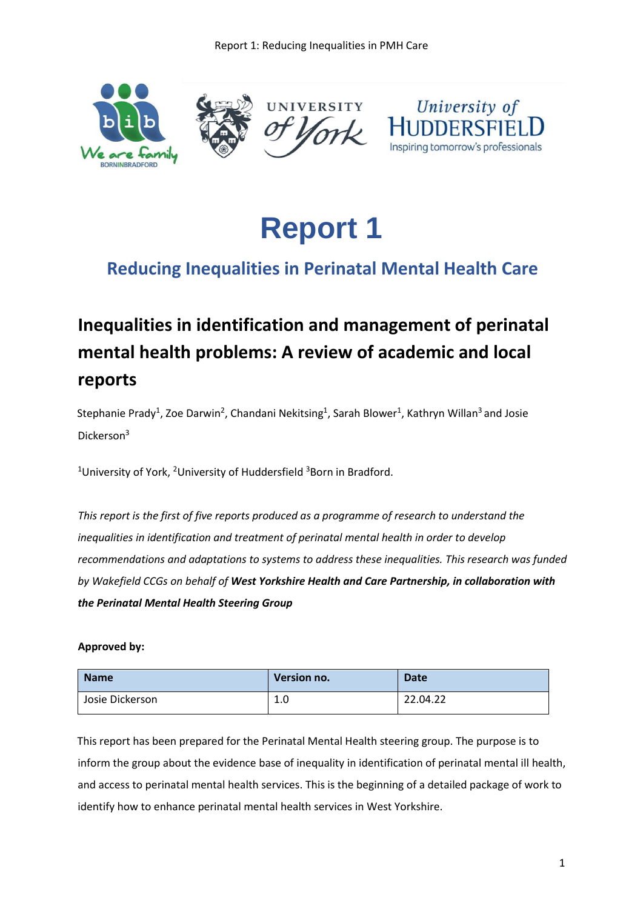

**Report 1**

## **Reducing Inequalities in Perinatal Mental Health Care**

# **Inequalities in identification and management of perinatal mental health problems: A review of academic and local reports**

Stephanie Prady<sup>1</sup>, Zoe Darwin<sup>2</sup>, Chandani Nekitsing<sup>1</sup>, Sarah Blower<sup>1</sup>, Kathryn Willan<sup>3</sup> and Josie Dickerson<sup>3</sup>

<sup>1</sup>University of York, <sup>2</sup>University of Huddersfield  $3$ Born in Bradford.

*This report is the first of five reports produced as a programme of research to understand the inequalities in identification and treatment of perinatal mental health in order to develop recommendations and adaptations to systems to address these inequalities. This research was funded by Wakefield CCGs on behalf of West Yorkshire Health and Care Partnership, in collaboration with the Perinatal Mental Health Steering Group*

#### **Approved by:**

| <b>Name</b>     | Version no. | <b>Date</b> |
|-----------------|-------------|-------------|
| Josie Dickerson | 1.0         | 22.04.22    |

This report has been prepared for the Perinatal Mental Health steering group. The purpose is to inform the group about the evidence base of inequality in identification of perinatal mental ill health, and access to perinatal mental health services. This is the beginning of a detailed package of work to identify how to enhance perinatal mental health services in West Yorkshire.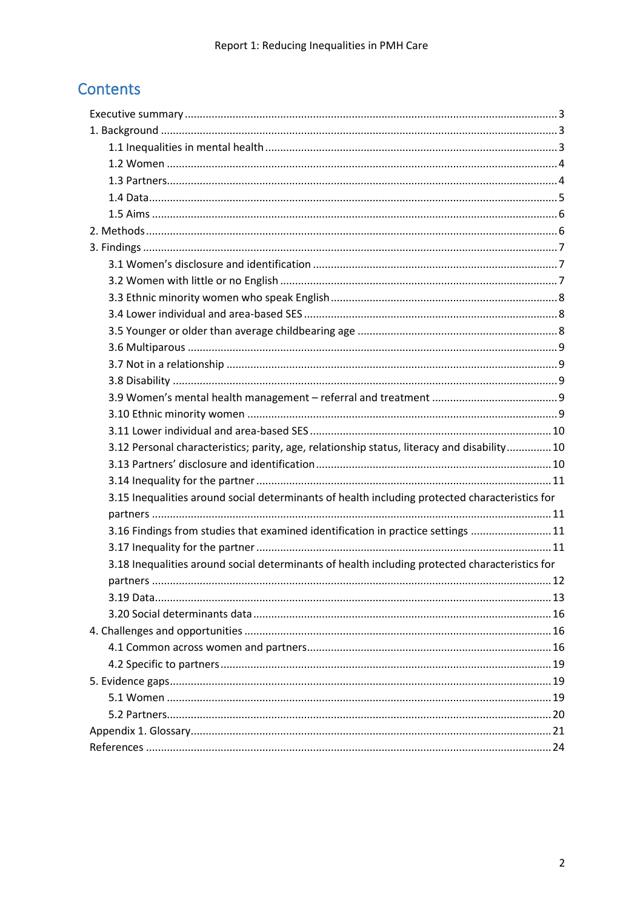## Contents

| 3.12 Personal characteristics; parity, age, relationship status, literacy and disability 10    |  |
|------------------------------------------------------------------------------------------------|--|
|                                                                                                |  |
|                                                                                                |  |
| 3.15 Inequalities around social determinants of health including protected characteristics for |  |
|                                                                                                |  |
| 3.16 Findings from studies that examined identification in practice settings  11               |  |
|                                                                                                |  |
| 3.18 Inequalities around social determinants of health including protected characteristics for |  |
|                                                                                                |  |
|                                                                                                |  |
|                                                                                                |  |
|                                                                                                |  |
|                                                                                                |  |
|                                                                                                |  |
|                                                                                                |  |
|                                                                                                |  |
|                                                                                                |  |
|                                                                                                |  |
|                                                                                                |  |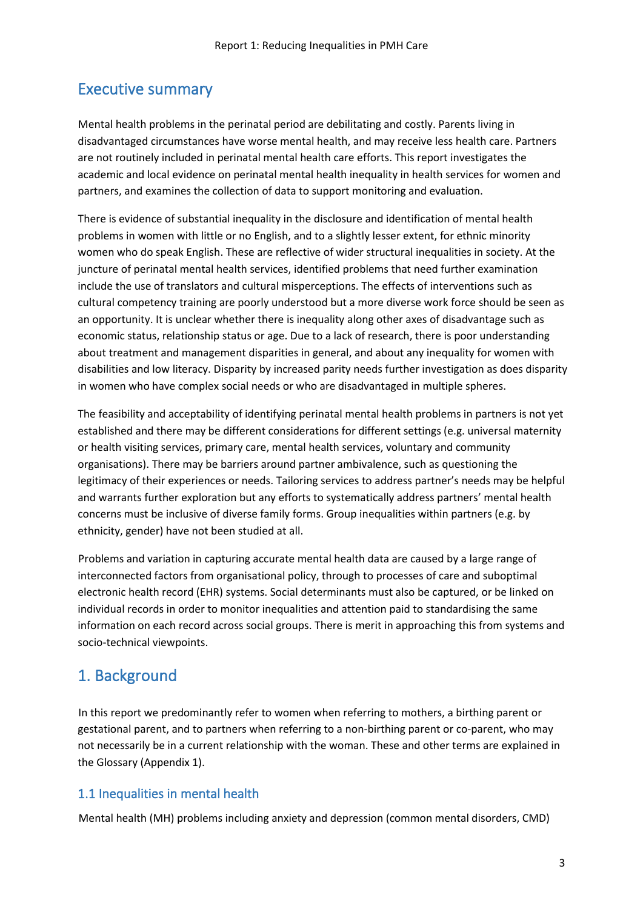## <span id="page-2-0"></span>Executive summary

Mental health problems in the perinatal period are debilitating and costly. Parents living in disadvantaged circumstances have worse mental health, and may receive less health care. Partners are not routinely included in perinatal mental health care efforts. This report investigates the academic and local evidence on perinatal mental health inequality in health services for women and partners, and examines the collection of data to support monitoring and evaluation.

There is evidence of substantial inequality in the disclosure and identification of mental health problems in women with little or no English, and to a slightly lesser extent, for ethnic minority women who do speak English. These are reflective of wider structural inequalities in society. At the juncture of perinatal mental health services, identified problems that need further examination include the use of translators and cultural misperceptions. The effects of interventions such as cultural competency training are poorly understood but a more diverse work force should be seen as an opportunity. It is unclear whether there is inequality along other axes of disadvantage such as economic status, relationship status or age. Due to a lack of research, there is poor understanding about treatment and management disparities in general, and about any inequality for women with disabilities and low literacy. Disparity by increased parity needs further investigation as does disparity in women who have complex social needs or who are disadvantaged in multiple spheres.

The feasibility and acceptability of identifying perinatal mental health problems in partners is not yet established and there may be different considerations for different settings (e.g. universal maternity or health visiting services, primary care, mental health services, voluntary and community organisations). There may be barriers around partner ambivalence, such as questioning the legitimacy of their experiences or needs. Tailoring services to address partner's needs may be helpful and warrants further exploration but any efforts to systematically address partners' mental health concerns must be inclusive of diverse family forms. Group inequalities within partners (e.g. by ethnicity, gender) have not been studied at all.

Problems and variation in capturing accurate mental health data are caused by a large range of interconnected factors from organisational policy, through to processes of care and suboptimal electronic health record (EHR) systems. Social determinants must also be captured, or be linked on individual records in order to monitor inequalities and attention paid to standardising the same information on each record across social groups. There is merit in approaching this from systems and socio-technical viewpoints.

## <span id="page-2-1"></span>1. Background

In this report we predominantly refer to women when referring to mothers, a birthing parent or gestational parent, and to partners when referring to a non-birthing parent or co-parent, who may not necessarily be in a current relationship with the woman. These and other terms are explained in the Glossary (Appendix 1).

#### <span id="page-2-2"></span>1.1 Inequalities in mental health

Mental health (MH) problems including anxiety and depression (common mental disorders, CMD)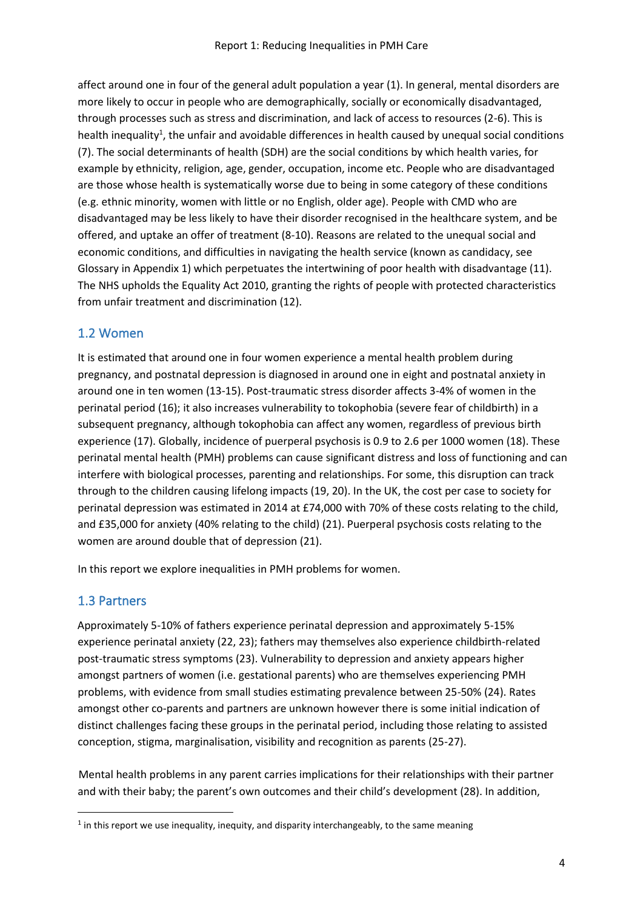affect around one in four of the general adult population a year (1). In general, mental disorders are more likely to occur in people who are demographically, socially or economically disadvantaged, through processes such as stress and discrimination, and lack of access to resources (2-6). This is health inequality<sup>1</sup>, the unfair and avoidable differences in health caused by unequal social conditions (7). The social determinants of health (SDH) are the social conditions by which health varies, for example by ethnicity, religion, age, gender, occupation, income etc. People who are disadvantaged are those whose health is systematically worse due to being in some category of these conditions (e.g. ethnic minority, women with little or no English, older age). People with CMD who are disadvantaged may be less likely to have their disorder recognised in the healthcare system, and be offered, and uptake an offer of treatment (8-10). Reasons are related to the unequal social and economic conditions, and difficulties in navigating the health service (known as candidacy, see Glossary in Appendix 1) which perpetuates the intertwining of poor health with disadvantage (11). The NHS upholds the Equality Act 2010, granting the rights of people with protected characteristics from unfair treatment and discrimination (12).

#### <span id="page-3-0"></span>1.2 Women

It is estimated that around one in four women experience a mental health problem during pregnancy, and postnatal depression is diagnosed in around one in eight and postnatal anxiety in around one in ten women (13-15). Post-traumatic stress disorder affects 3-4% of women in the perinatal period (16); it also increases vulnerability to tokophobia (severe fear of childbirth) in a subsequent pregnancy, although tokophobia can affect any women, regardless of previous birth experience (17). Globally, incidence of puerperal psychosis is 0.9 to 2.6 per 1000 women (18). These perinatal mental health (PMH) problems can cause significant distress and loss of functioning and can interfere with biological processes, parenting and relationships. For some, this disruption can track through to the children causing lifelong impacts (19, 20). In the UK, the cost per case to society for perinatal depression was estimated in 2014 at £74,000 with 70% of these costs relating to the child, and £35,000 for anxiety (40% relating to the child) (21). Puerperal psychosis costs relating to the women are around double that of depression (21).

<span id="page-3-1"></span>In this report we explore inequalities in PMH problems for women.

#### 1.3 Partners

Approximately 5-10% of fathers experience perinatal depression and approximately 5-15% experience perinatal anxiety (22, 23); fathers may themselves also experience childbirth-related post-traumatic stress symptoms (23). Vulnerability to depression and anxiety appears higher amongst partners of women (i.e. gestational parents) who are themselves experiencing PMH problems, with evidence from small studies estimating prevalence between 25-50% (24). Rates amongst other co-parents and partners are unknown however there is some initial indication of distinct challenges facing these groups in the perinatal period, including those relating to assisted conception, stigma, marginalisation, visibility and recognition as parents (25-27).

Mental health problems in any parent carries implications for their relationships with their partner and with their baby; the parent's own outcomes and their child's development (28). In addition,

 $<sup>1</sup>$  in this report we use inequality, inequity, and disparity interchangeably, to the same meaning</sup>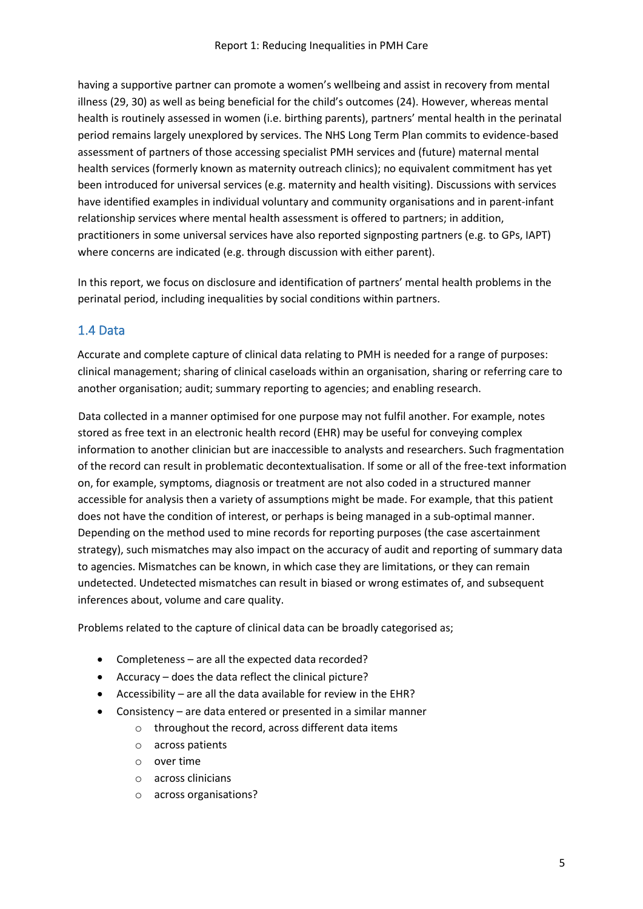having a supportive partner can promote a women's wellbeing and assist in recovery from mental illness (29, 30) as well as being beneficial for the child's outcomes (24). However, whereas mental health is routinely assessed in women (i.e. birthing parents), partners' mental health in the perinatal period remains largely unexplored by services. The NHS Long Term Plan commits to evidence-based assessment of partners of those accessing specialist PMH services and (future) maternal mental health services (formerly known as maternity outreach clinics); no equivalent commitment has yet been introduced for universal services (e.g. maternity and health visiting). Discussions with services have identified examples in individual voluntary and community organisations and in parent-infant relationship services where mental health assessment is offered to partners; in addition, practitioners in some universal services have also reported signposting partners (e.g. to GPs, IAPT) where concerns are indicated (e.g. through discussion with either parent).

In this report, we focus on disclosure and identification of partners' mental health problems in the perinatal period, including inequalities by social conditions within partners.

#### <span id="page-4-0"></span>1.4 Data

Accurate and complete capture of clinical data relating to PMH is needed for a range of purposes: clinical management; sharing of clinical caseloads within an organisation, sharing or referring care to another organisation; audit; summary reporting to agencies; and enabling research.

Data collected in a manner optimised for one purpose may not fulfil another. For example, notes stored as free text in an electronic health record (EHR) may be useful for conveying complex information to another clinician but are inaccessible to analysts and researchers. Such fragmentation of the record can result in problematic decontextualisation. If some or all of the free-text information on, for example, symptoms, diagnosis or treatment are not also coded in a structured manner accessible for analysis then a variety of assumptions might be made. For example, that this patient does not have the condition of interest, or perhaps is being managed in a sub-optimal manner. Depending on the method used to mine records for reporting purposes (the case ascertainment strategy), such mismatches may also impact on the accuracy of audit and reporting of summary data to agencies. Mismatches can be known, in which case they are limitations, or they can remain undetected. Undetected mismatches can result in biased or wrong estimates of, and subsequent inferences about, volume and care quality.

Problems related to the capture of clinical data can be broadly categorised as;

- Completeness are all the expected data recorded?
- Accuracy does the data reflect the clinical picture?
- Accessibility are all the data available for review in the EHR?
- Consistency are data entered or presented in a similar manner
	- o throughout the record, across different data items
	- o across patients
	- o over time
	- o across clinicians
	- o across organisations?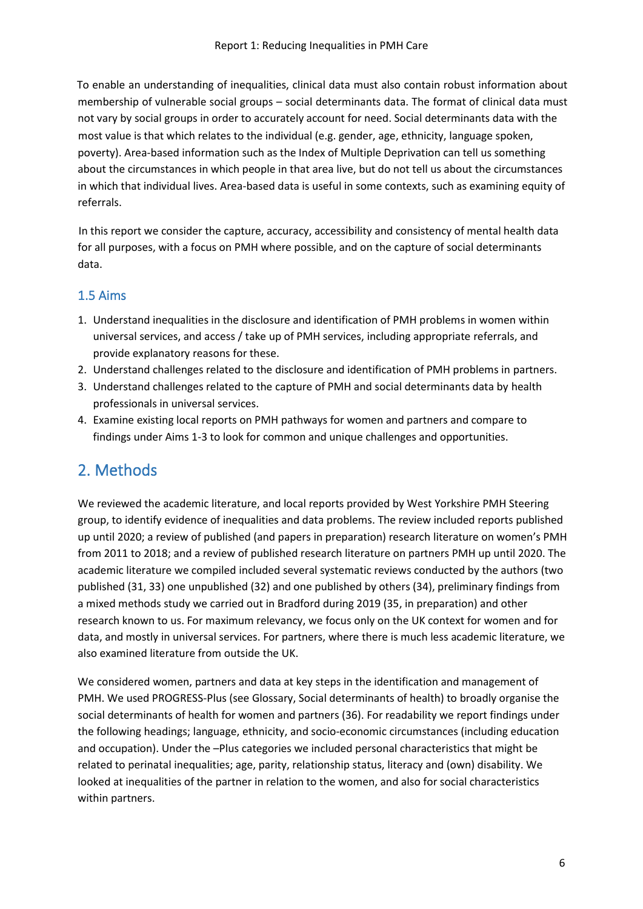To enable an understanding of inequalities, clinical data must also contain robust information about membership of vulnerable social groups – social determinants data. The format of clinical data must not vary by social groups in order to accurately account for need. Social determinants data with the most value is that which relates to the individual (e.g. gender, age, ethnicity, language spoken, poverty). Area-based information such as the Index of Multiple Deprivation can tell us something about the circumstances in which people in that area live, but do not tell us about the circumstances in which that individual lives. Area-based data is useful in some contexts, such as examining equity of referrals.

In this report we consider the capture, accuracy, accessibility and consistency of mental health data for all purposes, with a focus on PMH where possible, and on the capture of social determinants data.

#### <span id="page-5-0"></span>1.5 Aims

- 1. Understand inequalities in the disclosure and identification of PMH problems in women within universal services, and access / take up of PMH services, including appropriate referrals, and provide explanatory reasons for these.
- 2. Understand challenges related to the disclosure and identification of PMH problems in partners.
- 3. Understand challenges related to the capture of PMH and social determinants data by health professionals in universal services.
- 4. Examine existing local reports on PMH pathways for women and partners and compare to findings under Aims 1-3 to look for common and unique challenges and opportunities.

### <span id="page-5-1"></span>2. Methods

We reviewed the academic literature, and local reports provided by West Yorkshire PMH Steering group, to identify evidence of inequalities and data problems. The review included reports published up until 2020; a review of published (and papers in preparation) research literature on women's PMH from 2011 to 2018; and a review of published research literature on partners PMH up until 2020. The academic literature we compiled included several systematic reviews conducted by the authors (two published (31, 33) one unpublished (32) and one published by others (34), preliminary findings from a mixed methods study we carried out in Bradford during 2019 (35, in preparation) and other research known to us. For maximum relevancy, we focus only on the UK context for women and for data, and mostly in universal services. For partners, where there is much less academic literature, we also examined literature from outside the UK.

We considered women, partners and data at key steps in the identification and management of PMH. We used PROGRESS-Plus (see Glossary, Social determinants of health) to broadly organise the social determinants of health for women and partners (36). For readability we report findings under the following headings; language, ethnicity, and socio-economic circumstances (including education and occupation). Under the –Plus categories we included personal characteristics that might be related to perinatal inequalities; age, parity, relationship status, literacy and (own) disability. We looked at inequalities of the partner in relation to the women, and also for social characteristics within partners.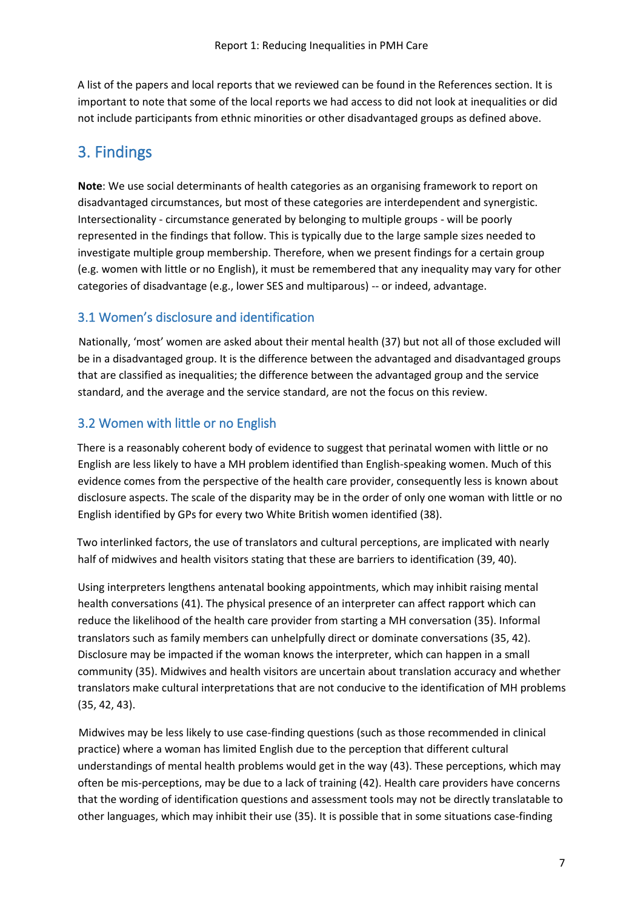A list of the papers and local reports that we reviewed can be found in the References section. It is important to note that some of the local reports we had access to did not look at inequalities or did not include participants from ethnic minorities or other disadvantaged groups as defined above.

## <span id="page-6-0"></span>3. Findings

**Note**: We use social determinants of health categories as an organising framework to report on disadvantaged circumstances, but most of these categories are interdependent and synergistic. Intersectionality - circumstance generated by belonging to multiple groups - will be poorly represented in the findings that follow. This is typically due to the large sample sizes needed to investigate multiple group membership. Therefore, when we present findings for a certain group (e.g. women with little or no English), it must be remembered that any inequality may vary for other categories of disadvantage (e.g., lower SES and multiparous) -- or indeed, advantage.

#### <span id="page-6-1"></span>3.1 Women's disclosure and identification

Nationally, 'most' women are asked about their mental health (37) but not all of those excluded will be in a disadvantaged group. It is the difference between the advantaged and disadvantaged groups that are classified as inequalities; the difference between the advantaged group and the service standard, and the average and the service standard, are not the focus on this review.

#### <span id="page-6-2"></span>3.2 Women with little or no English

There is a reasonably coherent body of evidence to suggest that perinatal women with little or no English are less likely to have a MH problem identified than English-speaking women. Much of this evidence comes from the perspective of the health care provider, consequently less is known about disclosure aspects. The scale of the disparity may be in the order of only one woman with little or no English identified by GPs for every two White British women identified (38).

Two interlinked factors, the use of translators and cultural perceptions, are implicated with nearly half of midwives and health visitors stating that these are barriers to identification (39, 40).

Using interpreters lengthens antenatal booking appointments, which may inhibit raising mental health conversations (41). The physical presence of an interpreter can affect rapport which can reduce the likelihood of the health care provider from starting a MH conversation (35). Informal translators such as family members can unhelpfully direct or dominate conversations (35, 42). Disclosure may be impacted if the woman knows the interpreter, which can happen in a small community (35). Midwives and health visitors are uncertain about translation accuracy and whether translators make cultural interpretations that are not conducive to the identification of MH problems (35, 42, 43).

Midwives may be less likely to use case-finding questions (such as those recommended in clinical practice) where a woman has limited English due to the perception that different cultural understandings of mental health problems would get in the way (43). These perceptions, which may often be mis-perceptions, may be due to a lack of training (42). Health care providers have concerns that the wording of identification questions and assessment tools may not be directly translatable to other languages, which may inhibit their use (35). It is possible that in some situations case-finding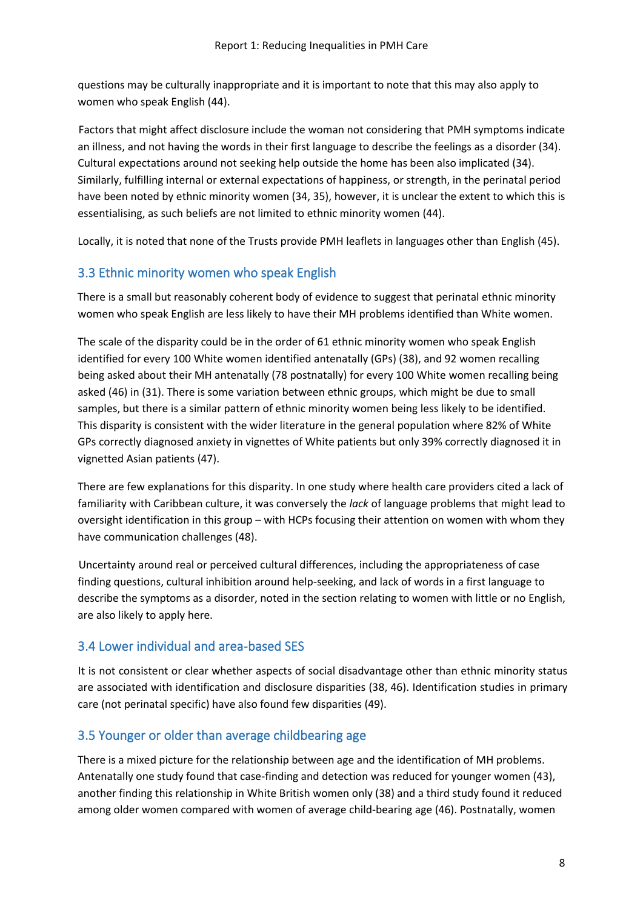questions may be culturally inappropriate and it is important to note that this may also apply to women who speak English (44).

Factors that might affect disclosure include the woman not considering that PMH symptoms indicate an illness, and not having the words in their first language to describe the feelings as a disorder (34). Cultural expectations around not seeking help outside the home has been also implicated (34). Similarly, fulfilling internal or external expectations of happiness, or strength, in the perinatal period have been noted by ethnic minority women (34, 35), however, it is unclear the extent to which this is essentialising, as such beliefs are not limited to ethnic minority women (44).

Locally, it is noted that none of the Trusts provide PMH leaflets in languages other than English (45).

#### <span id="page-7-0"></span>3.3 Ethnic minority women who speak English

There is a small but reasonably coherent body of evidence to suggest that perinatal ethnic minority women who speak English are less likely to have their MH problems identified than White women.

The scale of the disparity could be in the order of 61 ethnic minority women who speak English identified for every 100 White women identified antenatally (GPs) (38), and 92 women recalling being asked about their MH antenatally (78 postnatally) for every 100 White women recalling being asked (46) in (31). There is some variation between ethnic groups, which might be due to small samples, but there is a similar pattern of ethnic minority women being less likely to be identified. This disparity is consistent with the wider literature in the general population where 82% of White GPs correctly diagnosed anxiety in vignettes of White patients but only 39% correctly diagnosed it in vignetted Asian patients (47).

There are few explanations for this disparity. In one study where health care providers cited a lack of familiarity with Caribbean culture, it was conversely the *lack* of language problems that might lead to oversight identification in this group – with HCPs focusing their attention on women with whom they have communication challenges (48).

Uncertainty around real or perceived cultural differences, including the appropriateness of case finding questions, cultural inhibition around help-seeking, and lack of words in a first language to describe the symptoms as a disorder, noted in the section relating to women with little or no English, are also likely to apply here.

#### <span id="page-7-1"></span>3.4 Lower individual and area-based SES

It is not consistent or clear whether aspects of social disadvantage other than ethnic minority status are associated with identification and disclosure disparities (38, 46). Identification studies in primary care (not perinatal specific) have also found few disparities (49).

#### <span id="page-7-2"></span>3.5 Younger or older than average childbearing age

There is a mixed picture for the relationship between age and the identification of MH problems. Antenatally one study found that case-finding and detection was reduced for younger women (43), another finding this relationship in White British women only (38) and a third study found it reduced among older women compared with women of average child-bearing age (46). Postnatally, women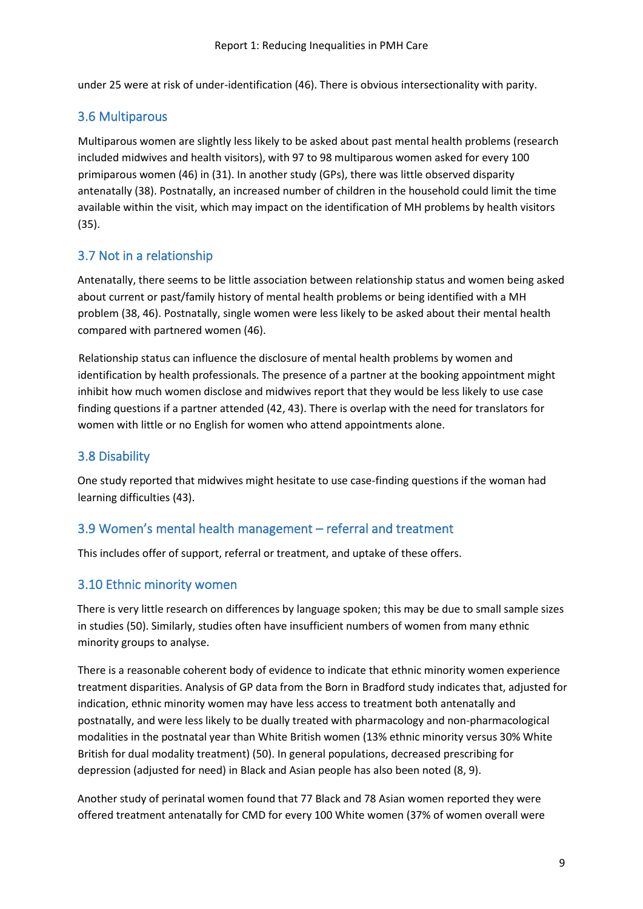under 25 were at risk of under-identification (46). There is obvious intersectionality with parity.

#### <span id="page-8-0"></span>3.6 Multiparous

Multiparous women are slightly less likely to be asked about past mental health problems (research included midwives and health visitors), with 97 to 98 multiparous women asked for every 100 primiparous women (46) in (31). In another study (GPs), there was little observed disparity antenatally (38). Postnatally, an increased number of children in the household could limit the time available within the visit, which may impact on the identification of MH problems by health visitors (35).

#### <span id="page-8-1"></span>3.7 Not in a relationship

Antenatally, there seems to be little association between relationship status and women being asked about current or past/family history of mental health problems or being identified with a MH problem (38, 46). Postnatally, single women were less likely to be asked about their mental health compared with partnered women (46).

Relationship status can influence the disclosure of mental health problems by women and identification by health professionals. The presence of a partner at the booking appointment might inhibit how much women disclose and midwives report that they would be less likely to use case finding questions if a partner attended (42, 43). There is overlap with the need for translators for women with little or no English for women who attend appointments alone.

#### <span id="page-8-2"></span>3.8 Disability

One study reported that midwives might hesitate to use case-finding questions if the woman had learning difficulties (43).

#### <span id="page-8-3"></span>3.9 Women's mental health management – referral and treatment

This includes offer of support, referral or treatment, and uptake of these offers.

#### <span id="page-8-4"></span>3.10 Ethnic minority women

There is very little research on differences by language spoken; this may be due to small sample sizes in studies (50). Similarly, studies often have insufficient numbers of women from many ethnic minority groups to analyse.

There is a reasonable coherent body of evidence to indicate that ethnic minority women experience treatment disparities. Analysis of GP data from the Born in Bradford study indicates that, adjusted for indication, ethnic minority women may have less access to treatment both antenatally and postnatally, and were less likely to be dually treated with pharmacology and non-pharmacological modalities in the postnatal year than White British women (13% ethnic minority versus 30% White British for dual modality treatment) (50). In general populations, decreased prescribing for depression (adjusted for need) in Black and Asian people has also been noted (8, 9).

Another study of perinatal women found that 77 Black and 78 Asian women reported they were offered treatment antenatally for CMD for every 100 White women (37% of women overall were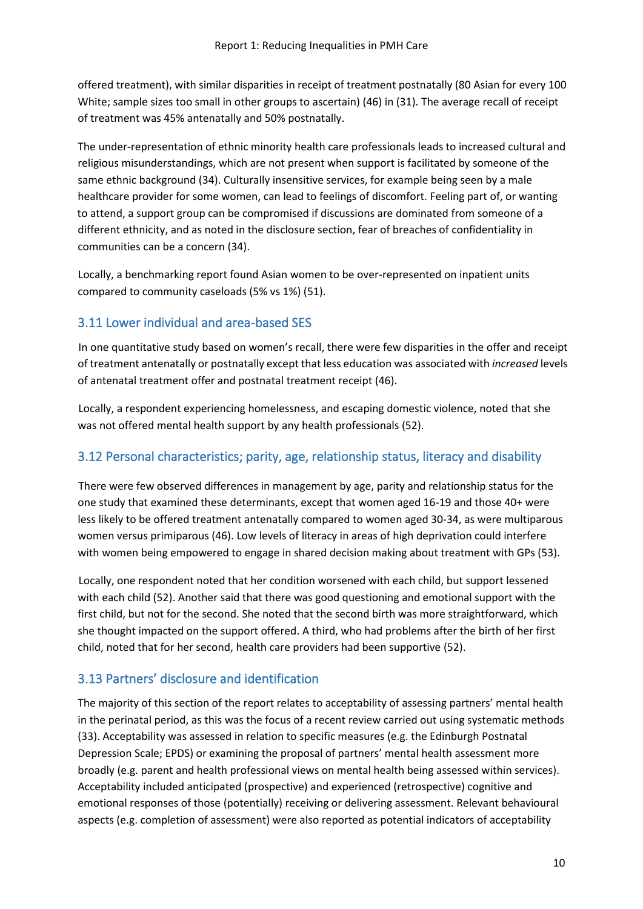offered treatment), with similar disparities in receipt of treatment postnatally (80 Asian for every 100 White; sample sizes too small in other groups to ascertain) (46) in (31). The average recall of receipt of treatment was 45% antenatally and 50% postnatally.

The under-representation of ethnic minority health care professionals leads to increased cultural and religious misunderstandings, which are not present when support is facilitated by someone of the same ethnic background (34). Culturally insensitive services, for example being seen by a male healthcare provider for some women, can lead to feelings of discomfort. Feeling part of, or wanting to attend, a support group can be compromised if discussions are dominated from someone of a different ethnicity, and as noted in the disclosure section, fear of breaches of confidentiality in communities can be a concern (34).

Locally, a benchmarking report found Asian women to be over-represented on inpatient units compared to community caseloads (5% vs 1%) (51).

#### <span id="page-9-0"></span>3.11 Lower individual and area-based SES

In one quantitative study based on women's recall, there were few disparities in the offer and receipt of treatment antenatally or postnatally except that less education was associated with *increased* levels of antenatal treatment offer and postnatal treatment receipt (46).

Locally, a respondent experiencing homelessness, and escaping domestic violence, noted that she was not offered mental health support by any health professionals (52).

#### <span id="page-9-1"></span>3.12 Personal characteristics; parity, age, relationship status, literacy and disability

There were few observed differences in management by age, parity and relationship status for the one study that examined these determinants, except that women aged 16-19 and those 40+ were less likely to be offered treatment antenatally compared to women aged 30-34, as were multiparous women versus primiparous (46). Low levels of literacy in areas of high deprivation could interfere with women being empowered to engage in shared decision making about treatment with GPs (53).

Locally, one respondent noted that her condition worsened with each child, but support lessened with each child (52). Another said that there was good questioning and emotional support with the first child, but not for the second. She noted that the second birth was more straightforward, which she thought impacted on the support offered. A third, who had problems after the birth of her first child, noted that for her second, health care providers had been supportive (52).

#### <span id="page-9-2"></span>3.13 Partners' disclosure and identification

The majority of this section of the report relates to acceptability of assessing partners' mental health in the perinatal period, as this was the focus of a recent review carried out using systematic methods (33). Acceptability was assessed in relation to specific measures (e.g. the Edinburgh Postnatal Depression Scale; EPDS) or examining the proposal of partners' mental health assessment more broadly (e.g. parent and health professional views on mental health being assessed within services). Acceptability included anticipated (prospective) and experienced (retrospective) cognitive and emotional responses of those (potentially) receiving or delivering assessment. Relevant behavioural aspects (e.g. completion of assessment) were also reported as potential indicators of acceptability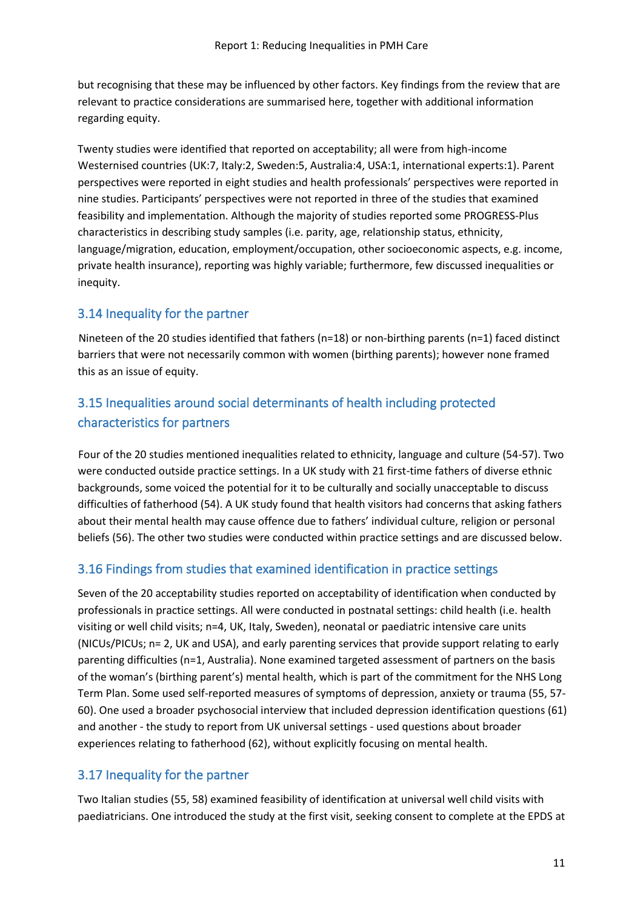but recognising that these may be influenced by other factors. Key findings from the review that are relevant to practice considerations are summarised here, together with additional information regarding equity.

Twenty studies were identified that reported on acceptability; all were from high-income Westernised countries (UK:7, Italy:2, Sweden:5, Australia:4, USA:1, international experts:1). Parent perspectives were reported in eight studies and health professionals' perspectives were reported in nine studies. Participants' perspectives were not reported in three of the studies that examined feasibility and implementation. Although the majority of studies reported some PROGRESS-Plus characteristics in describing study samples (i.e. parity, age, relationship status, ethnicity, language/migration, education, employment/occupation, other socioeconomic aspects, e.g. income, private health insurance), reporting was highly variable; furthermore, few discussed inequalities or inequity.

#### <span id="page-10-0"></span>3.14 Inequality for the partner

Nineteen of the 20 studies identified that fathers (n=18) or non-birthing parents (n=1) faced distinct barriers that were not necessarily common with women (birthing parents); however none framed this as an issue of equity.

### <span id="page-10-1"></span>3.15 Inequalities around social determinants of health including protected characteristics for partners

Four of the 20 studies mentioned inequalities related to ethnicity, language and culture (54-57). Two were conducted outside practice settings. In a UK study with 21 first-time fathers of diverse ethnic backgrounds, some voiced the potential for it to be culturally and socially unacceptable to discuss difficulties of fatherhood (54). A UK study found that health visitors had concerns that asking fathers about their mental health may cause offence due to fathers' individual culture, religion or personal beliefs (56). The other two studies were conducted within practice settings and are discussed below.

#### <span id="page-10-2"></span>3.16 Findings from studies that examined identification in practice settings

Seven of the 20 acceptability studies reported on acceptability of identification when conducted by professionals in practice settings. All were conducted in postnatal settings: child health (i.e. health visiting or well child visits; n=4, UK, Italy, Sweden), neonatal or paediatric intensive care units (NICUs/PICUs; n= 2, UK and USA), and early parenting services that provide support relating to early parenting difficulties (n=1, Australia). None examined targeted assessment of partners on the basis of the woman's (birthing parent's) mental health, which is part of the commitment for the NHS Long Term Plan. Some used self-reported measures of symptoms of depression, anxiety or trauma (55, 57- 60). One used a broader psychosocial interview that included depression identification questions (61) and another - the study to report from UK universal settings - used questions about broader experiences relating to fatherhood (62), without explicitly focusing on mental health.

#### <span id="page-10-3"></span>3.17 Inequality for the partner

Two Italian studies (55, 58) examined feasibility of identification at universal well child visits with paediatricians. One introduced the study at the first visit, seeking consent to complete at the EPDS at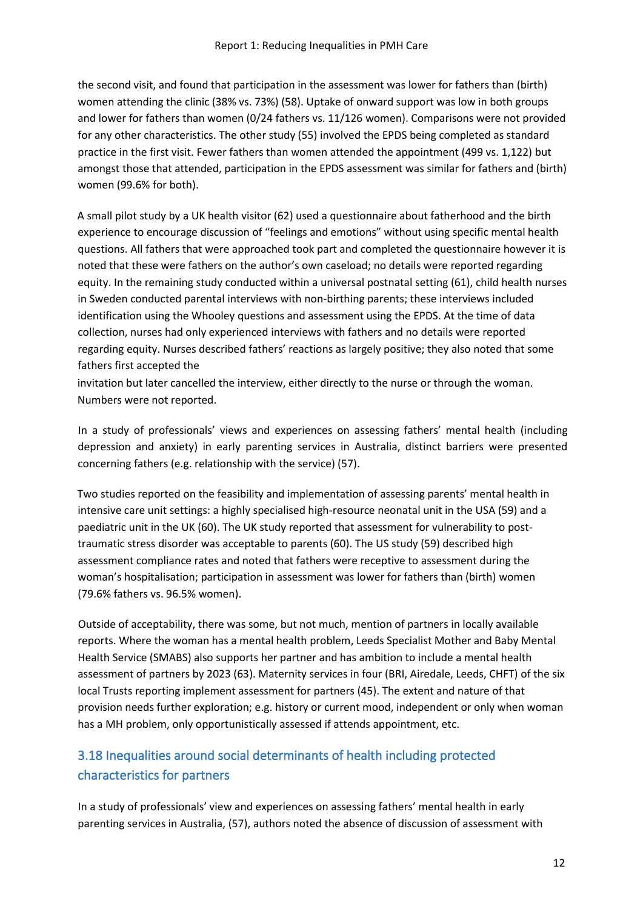the second visit, and found that participation in the assessment was lower for fathers than (birth) women attending the clinic (38% vs. 73%) (58). Uptake of onward support was low in both groups and lower for fathers than women (0/24 fathers vs. 11/126 women). Comparisons were not provided for any other characteristics. The other study (55) involved the EPDS being completed as standard practice in the first visit. Fewer fathers than women attended the appointment (499 vs. 1,122) but amongst those that attended, participation in the EPDS assessment was similar for fathers and (birth) women (99.6% for both).

A small pilot study by a UK health visitor (62) used a questionnaire about fatherhood and the birth experience to encourage discussion of "feelings and emotions" without using specific mental health questions. All fathers that were approached took part and completed the questionnaire however it is noted that these were fathers on the author's own caseload; no details were reported regarding equity. In the remaining study conducted within a universal postnatal setting (61), child health nurses in Sweden conducted parental interviews with non-birthing parents; these interviews included identification using the Whooley questions and assessment using the EPDS. At the time of data collection, nurses had only experienced interviews with fathers and no details were reported regarding equity. Nurses described fathers' reactions as largely positive; they also noted that some fathers first accepted the

invitation but later cancelled the interview, either directly to the nurse or through the woman. Numbers were not reported.

In a study of professionals' views and experiences on assessing fathers' mental health (including depression and anxiety) in early parenting services in Australia, distinct barriers were presented concerning fathers (e.g. relationship with the service) (57).

Two studies reported on the feasibility and implementation of assessing parents' mental health in intensive care unit settings: a highly specialised high-resource neonatal unit in the USA (59) and a paediatric unit in the UK (60). The UK study reported that assessment for vulnerability to posttraumatic stress disorder was acceptable to parents (60). The US study (59) described high assessment compliance rates and noted that fathers were receptive to assessment during the woman's hospitalisation; participation in assessment was lower for fathers than (birth) women (79.6% fathers vs. 96.5% women).

Outside of acceptability, there was some, but not much, mention of partners in locally available reports. Where the woman has a mental health problem, Leeds Specialist Mother and Baby Mental Health Service (SMABS) also supports her partner and has ambition to include a mental health assessment of partners by 2023 (63). Maternity services in four (BRI, Airedale, Leeds, CHFT) of the six local Trusts reporting implement assessment for partners (45). The extent and nature of that provision needs further exploration; e.g. history or current mood, independent or only when woman has a MH problem, only opportunistically assessed if attends appointment, etc.

### <span id="page-11-0"></span>3.18 Inequalities around social determinants of health including protected characteristics for partners

In a study of professionals' view and experiences on assessing fathers' mental health in early parenting services in Australia, (57), authors noted the absence of discussion of assessment with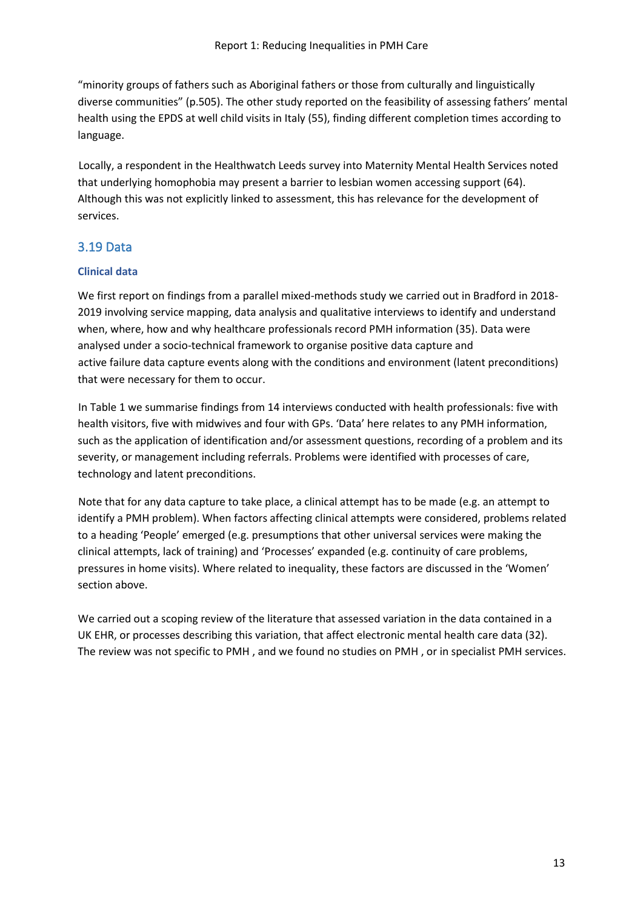"minority groups of fathers such as Aboriginal fathers or those from culturally and linguistically diverse communities" (p.505). The other study reported on the feasibility of assessing fathers' mental health using the EPDS at well child visits in Italy (55), finding different completion times according to language.

Locally, a respondent in the Healthwatch Leeds survey into Maternity Mental Health Services noted that underlying homophobia may present a barrier to lesbian women accessing support (64). Although this was not explicitly linked to assessment, this has relevance for the development of services.

#### <span id="page-12-0"></span>3.19 Data

#### **Clinical data**

We first report on findings from a parallel mixed-methods study we carried out in Bradford in 2018- 2019 involving service mapping, data analysis and qualitative interviews to identify and understand when, where, how and why healthcare professionals record PMH information (35). Data were analysed under a socio-technical framework to organise positive data capture and active failure data capture events along with the conditions and environment (latent preconditions) that were necessary for them to occur.

In Table 1 we summarise findings from 14 interviews conducted with health professionals: five with health visitors, five with midwives and four with GPs. 'Data' here relates to any PMH information, such as the application of identification and/or assessment questions, recording of a problem and its severity, or management including referrals. Problems were identified with processes of care, technology and latent preconditions.

Note that for any data capture to take place, a clinical attempt has to be made (e.g. an attempt to identify a PMH problem). When factors affecting clinical attempts were considered, problems related to a heading 'People' emerged (e.g. presumptions that other universal services were making the clinical attempts, lack of training) and 'Processes' expanded (e.g. continuity of care problems, pressures in home visits). Where related to inequality, these factors are discussed in the 'Women' section above.

We carried out a scoping review of the literature that assessed variation in the data contained in a UK EHR, or processes describing this variation, that affect electronic mental health care data (32). The review was not specific to PMH , and we found no studies on PMH , or in specialist PMH services.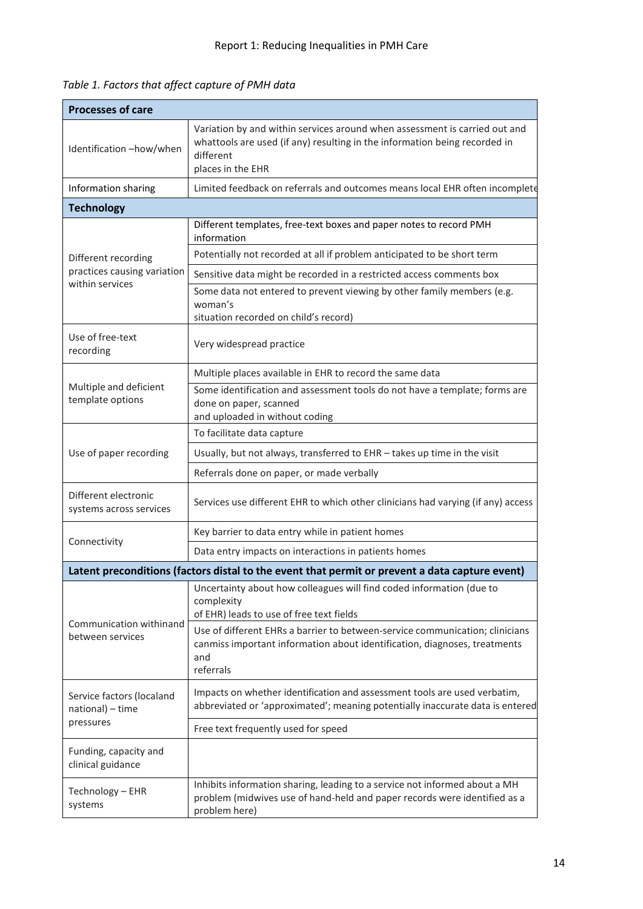| <b>Processes of care</b>                        |                                                                                                                                                                                                                                                                                                                 |  |  |
|-------------------------------------------------|-----------------------------------------------------------------------------------------------------------------------------------------------------------------------------------------------------------------------------------------------------------------------------------------------------------------|--|--|
| Identification-how/when                         | Variation by and within services around when assessment is carried out and<br>whattools are used (if any) resulting in the information being recorded in<br>different<br>places in the EHR                                                                                                                      |  |  |
| Information sharing                             | Limited feedback on referrals and outcomes means local EHR often incomplete                                                                                                                                                                                                                                     |  |  |
| <b>Technology</b>                               |                                                                                                                                                                                                                                                                                                                 |  |  |
|                                                 | Different templates, free-text boxes and paper notes to record PMH<br>information                                                                                                                                                                                                                               |  |  |
| Different recording                             | Potentially not recorded at all if problem anticipated to be short term                                                                                                                                                                                                                                         |  |  |
| practices causing variation                     | Sensitive data might be recorded in a restricted access comments box                                                                                                                                                                                                                                            |  |  |
| within services                                 | Some data not entered to prevent viewing by other family members (e.g.<br>woman's<br>situation recorded on child's record)                                                                                                                                                                                      |  |  |
| Use of free-text<br>recording                   | Very widespread practice                                                                                                                                                                                                                                                                                        |  |  |
|                                                 | Multiple places available in EHR to record the same data                                                                                                                                                                                                                                                        |  |  |
| Multiple and deficient<br>template options      | Some identification and assessment tools do not have a template; forms are<br>done on paper, scanned<br>and uploaded in without coding                                                                                                                                                                          |  |  |
|                                                 | To facilitate data capture                                                                                                                                                                                                                                                                                      |  |  |
| Use of paper recording                          | Usually, but not always, transferred to EHR - takes up time in the visit                                                                                                                                                                                                                                        |  |  |
|                                                 | Referrals done on paper, or made verbally                                                                                                                                                                                                                                                                       |  |  |
| Different electronic<br>systems across services | Services use different EHR to which other clinicians had varying (if any) access                                                                                                                                                                                                                                |  |  |
|                                                 | Key barrier to data entry while in patient homes                                                                                                                                                                                                                                                                |  |  |
| Connectivity                                    | Data entry impacts on interactions in patients homes                                                                                                                                                                                                                                                            |  |  |
|                                                 | Latent preconditions (factors distal to the event that permit or prevent a data capture event)                                                                                                                                                                                                                  |  |  |
| Communication withinand<br>between services     | Uncertainty about how colleagues will find coded information (due to<br>complexity<br>of EHR) leads to use of free text fields<br>Use of different EHRs a barrier to between-service communication; clinicians<br>canmiss important information about identification, diagnoses, treatments<br>and<br>referrals |  |  |
| Service factors (localand<br>national) - time   | Impacts on whether identification and assessment tools are used verbatim,<br>abbreviated or 'approximated'; meaning potentially inaccurate data is entered                                                                                                                                                      |  |  |
| pressures                                       | Free text frequently used for speed                                                                                                                                                                                                                                                                             |  |  |
| Funding, capacity and<br>clinical guidance      |                                                                                                                                                                                                                                                                                                                 |  |  |
| Technology - EHR<br>systems                     | Inhibits information sharing, leading to a service not informed about a MH<br>problem (midwives use of hand-held and paper records were identified as a<br>problem here)                                                                                                                                        |  |  |

*Table 1. Factors that affect capture of PMH data*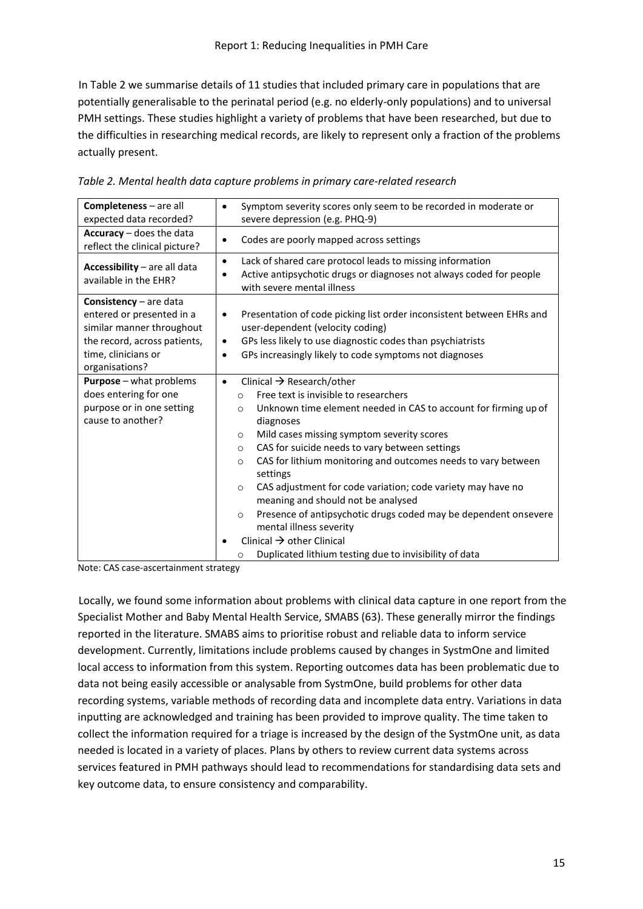In Table 2 we summarise details of 11 studies that included primary care in populations that are potentially generalisable to the perinatal period (e.g. no elderly-only populations) and to universal PMH settings. These studies highlight a variety of problems that have been researched, but due to the difficulties in researching medical records, are likely to represent only a fraction of the problems actually present.

| <b>Completeness</b> – are all<br>expected data recorded?                                                                                                           | Symptom severity scores only seem to be recorded in moderate or<br>severe depression (e.g. PHQ-9)                                                                                                                                                                                                                                                                                                                                                                                                                                                                                                                                                                                                                                                |
|--------------------------------------------------------------------------------------------------------------------------------------------------------------------|--------------------------------------------------------------------------------------------------------------------------------------------------------------------------------------------------------------------------------------------------------------------------------------------------------------------------------------------------------------------------------------------------------------------------------------------------------------------------------------------------------------------------------------------------------------------------------------------------------------------------------------------------------------------------------------------------------------------------------------------------|
| Accuracy - does the data<br>reflect the clinical picture?                                                                                                          | Codes are poorly mapped across settings                                                                                                                                                                                                                                                                                                                                                                                                                                                                                                                                                                                                                                                                                                          |
| Accessibility - are all data<br>available in the EHR?                                                                                                              | Lack of shared care protocol leads to missing information<br>$\bullet$<br>Active antipsychotic drugs or diagnoses not always coded for people<br>with severe mental illness                                                                                                                                                                                                                                                                                                                                                                                                                                                                                                                                                                      |
| <b>Consistency</b> $-$ are data<br>entered or presented in a<br>similar manner throughout<br>the record, across patients,<br>time, clinicians or<br>organisations? | Presentation of code picking list order inconsistent between EHRs and<br>٠<br>user-dependent (velocity coding)<br>GPs less likely to use diagnostic codes than psychiatrists<br>$\bullet$<br>GPs increasingly likely to code symptoms not diagnoses<br>$\bullet$                                                                                                                                                                                                                                                                                                                                                                                                                                                                                 |
| Purpose - what problems<br>does entering for one<br>purpose or in one setting<br>cause to another?                                                                 | Clinical $\rightarrow$ Research/other<br>$\bullet$<br>Free text is invisible to researchers<br>$\circ$<br>Unknown time element needed in CAS to account for firming up of<br>$\circ$<br>diagnoses<br>Mild cases missing symptom severity scores<br>$\circ$<br>CAS for suicide needs to vary between settings<br>$\circ$<br>CAS for lithium monitoring and outcomes needs to vary between<br>$\circ$<br>settings<br>CAS adjustment for code variation; code variety may have no<br>$\circ$<br>meaning and should not be analysed<br>Presence of antipsychotic drugs coded may be dependent onsevere<br>$\circ$<br>mental illness severity<br>Clinical $\rightarrow$ other Clinical<br>Duplicated lithium testing due to invisibility of data<br>O |

*Table 2. Mental health data capture problems in primary care-related research* 

Note: CAS case-ascertainment strategy

Locally, we found some information about problems with clinical data capture in one report from the Specialist Mother and Baby Mental Health Service, SMABS (63). These generally mirror the findings reported in the literature. SMABS aims to prioritise robust and reliable data to inform service development. Currently, limitations include problems caused by changes in SystmOne and limited local access to information from this system. Reporting outcomes data has been problematic due to data not being easily accessible or analysable from SystmOne, build problems for other data recording systems, variable methods of recording data and incomplete data entry. Variations in data inputting are acknowledged and training has been provided to improve quality. The time taken to collect the information required for a triage is increased by the design of the SystmOne unit, as data needed is located in a variety of places. Plans by others to review current data systems across services featured in PMH pathways should lead to recommendations for standardising data sets and key outcome data, to ensure consistency and comparability.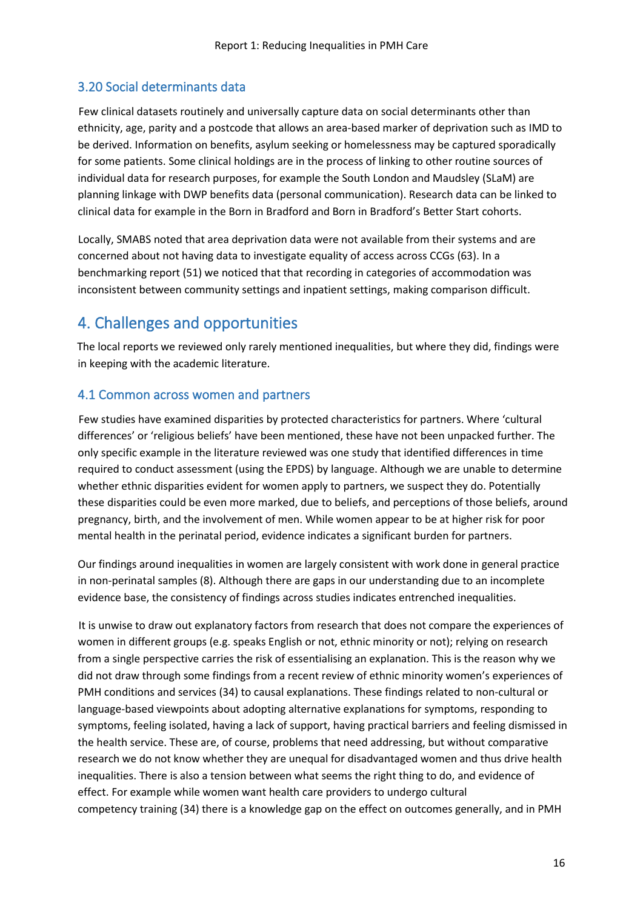#### <span id="page-15-0"></span>3.20 Social determinants data

Few clinical datasets routinely and universally capture data on social determinants other than ethnicity, age, parity and a postcode that allows an area-based marker of deprivation such as IMD to be derived. Information on benefits, asylum seeking or homelessness may be captured sporadically for some patients. Some clinical holdings are in the process of linking to other routine sources of individual data for research purposes, for example the South London and Maudsley (SLaM) are planning linkage with DWP benefits data (personal communication). Research data can be linked to clinical data for example in the Born in Bradford and Born in Bradford's Better Start cohorts.

Locally, SMABS noted that area deprivation data were not available from their systems and are concerned about not having data to investigate equality of access across CCGs (63). In a benchmarking report (51) we noticed that that recording in categories of accommodation was inconsistent between community settings and inpatient settings, making comparison difficult.

## <span id="page-15-1"></span>4. Challenges and opportunities

The local reports we reviewed only rarely mentioned inequalities, but where they did, findings were in keeping with the academic literature.

#### <span id="page-15-2"></span>4.1 Common across women and partners

Few studies have examined disparities by protected characteristics for partners. Where 'cultural differences' or 'religious beliefs' have been mentioned, these have not been unpacked further. The only specific example in the literature reviewed was one study that identified differences in time required to conduct assessment (using the EPDS) by language. Although we are unable to determine whether ethnic disparities evident for women apply to partners, we suspect they do. Potentially these disparities could be even more marked, due to beliefs, and perceptions of those beliefs, around pregnancy, birth, and the involvement of men. While women appear to be at higher risk for poor mental health in the perinatal period, evidence indicates a significant burden for partners.

Our findings around inequalities in women are largely consistent with work done in general practice in non-perinatal samples (8). Although there are gaps in our understanding due to an incomplete evidence base, the consistency of findings across studies indicates entrenched inequalities.

It is unwise to draw out explanatory factors from research that does not compare the experiences of women in different groups (e.g. speaks English or not, ethnic minority or not); relying on research from a single perspective carries the risk of essentialising an explanation. This is the reason why we did not draw through some findings from a recent review of ethnic minority women's experiences of PMH conditions and services (34) to causal explanations. These findings related to non-cultural or language-based viewpoints about adopting alternative explanations for symptoms, responding to symptoms, feeling isolated, having a lack of support, having practical barriers and feeling dismissed in the health service. These are, of course, problems that need addressing, but without comparative research we do not know whether they are unequal for disadvantaged women and thus drive health inequalities. There is also a tension between what seems the right thing to do, and evidence of effect. For example while women want health care providers to undergo cultural competency training (34) there is a knowledge gap on the effect on outcomes generally, and in PMH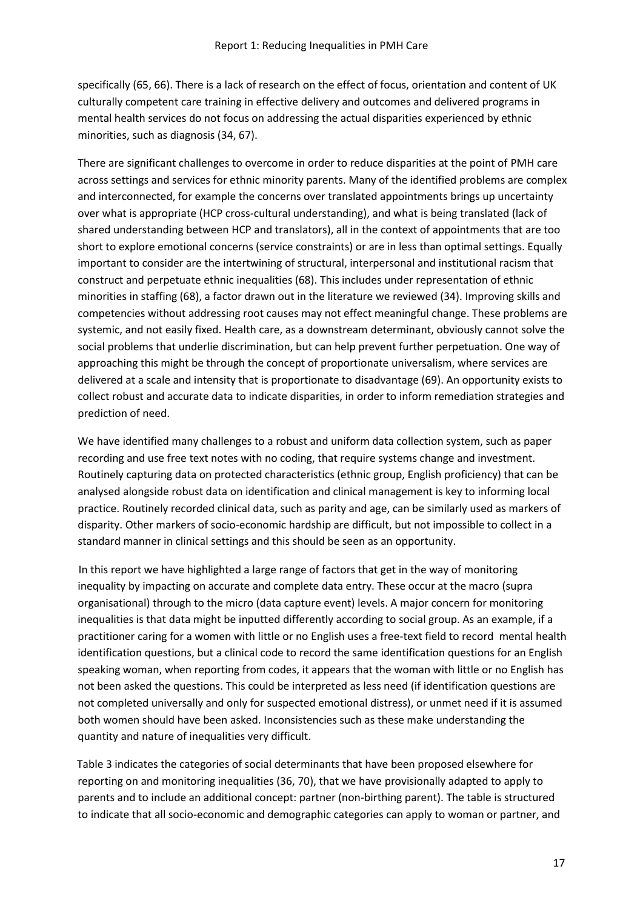specifically (65, 66). There is a lack of research on the effect of focus, orientation and content of UK culturally competent care training in effective delivery and outcomes and delivered programs in mental health services do not focus on addressing the actual disparities experienced by ethnic minorities, such as diagnosis (34, 67).

There are significant challenges to overcome in order to reduce disparities at the point of PMH care across settings and services for ethnic minority parents. Many of the identified problems are complex and interconnected, for example the concerns over translated appointments brings up uncertainty over what is appropriate (HCP cross-cultural understanding), and what is being translated (lack of shared understanding between HCP and translators), all in the context of appointments that are too short to explore emotional concerns (service constraints) or are in less than optimal settings. Equally important to consider are the intertwining of structural, interpersonal and institutional racism that construct and perpetuate ethnic inequalities (68). This includes under representation of ethnic minorities in staffing (68), a factor drawn out in the literature we reviewed (34). Improving skills and competencies without addressing root causes may not effect meaningful change. These problems are systemic, and not easily fixed. Health care, as a downstream determinant, obviously cannot solve the social problems that underlie discrimination, but can help prevent further perpetuation. One way of approaching this might be through the concept of proportionate universalism, where services are delivered at a scale and intensity that is proportionate to disadvantage (69). An opportunity exists to collect robust and accurate data to indicate disparities, in order to inform remediation strategies and prediction of need.

We have identified many challenges to a robust and uniform data collection system, such as paper recording and use free text notes with no coding, that require systems change and investment. Routinely capturing data on protected characteristics (ethnic group, English proficiency) that can be analysed alongside robust data on identification and clinical management is key to informing local practice. Routinely recorded clinical data, such as parity and age, can be similarly used as markers of disparity. Other markers of socio-economic hardship are difficult, but not impossible to collect in a standard manner in clinical settings and this should be seen as an opportunity.

In this report we have highlighted a large range of factors that get in the way of monitoring inequality by impacting on accurate and complete data entry. These occur at the macro (supra organisational) through to the micro (data capture event) levels. A major concern for monitoring inequalities is that data might be inputted differently according to social group. As an example, if a practitioner caring for a women with little or no English uses a free-text field to record mental health identification questions, but a clinical code to record the same identification questions for an English speaking woman, when reporting from codes, it appears that the woman with little or no English has not been asked the questions. This could be interpreted as less need (if identification questions are not completed universally and only for suspected emotional distress), or unmet need if it is assumed both women should have been asked. Inconsistencies such as these make understanding the quantity and nature of inequalities very difficult.

Table 3 indicates the categories of social determinants that have been proposed elsewhere for reporting on and monitoring inequalities (36, 70), that we have provisionally adapted to apply to parents and to include an additional concept: partner (non-birthing parent). The table is structured to indicate that all socio-economic and demographic categories can apply to woman or partner, and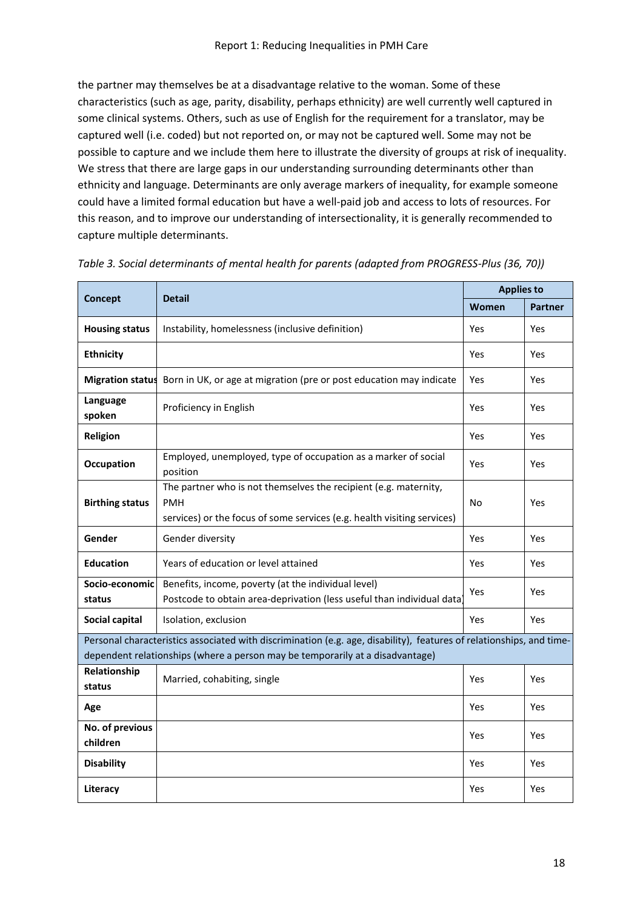the partner may themselves be at a disadvantage relative to the woman. Some of these characteristics (such as age, parity, disability, perhaps ethnicity) are well currently well captured in some clinical systems. Others, such as use of English for the requirement for a translator, may be captured well (i.e. coded) but not reported on, or may not be captured well. Some may not be possible to capture and we include them here to illustrate the diversity of groups at risk of inequality. We stress that there are large gaps in our understanding surrounding determinants other than ethnicity and language. Determinants are only average markers of inequality, for example someone could have a limited formal education but have a well-paid job and access to lots of resources. For this reason, and to improve our understanding of intersectionality, it is generally recommended to capture multiple determinants.

|                             | <b>Detail</b>                                                                                                                                                                                         | <b>Applies to</b> |                |
|-----------------------------|-------------------------------------------------------------------------------------------------------------------------------------------------------------------------------------------------------|-------------------|----------------|
| <b>Concept</b>              |                                                                                                                                                                                                       | Women             | <b>Partner</b> |
| <b>Housing status</b>       | Instability, homelessness (inclusive definition)                                                                                                                                                      | Yes               | Yes            |
| <b>Ethnicity</b>            |                                                                                                                                                                                                       | Yes               | Yes            |
| <b>Migration status</b>     | Born in UK, or age at migration (pre or post education may indicate                                                                                                                                   | Yes               | Yes            |
| Language<br>spoken          | Proficiency in English                                                                                                                                                                                | Yes               | Yes            |
| Religion                    |                                                                                                                                                                                                       | Yes               | Yes            |
| <b>Occupation</b>           | Employed, unemployed, type of occupation as a marker of social<br>position                                                                                                                            | Yes               | Yes            |
| <b>Birthing status</b>      | The partner who is not themselves the recipient (e.g. maternity,<br><b>PMH</b><br>services) or the focus of some services (e.g. health visiting services)                                             | No                | Yes            |
| Gender                      | Gender diversity                                                                                                                                                                                      | <b>Yes</b>        | Yes            |
| <b>Education</b>            | Years of education or level attained                                                                                                                                                                  | Yes               | Yes            |
| Socio-economic<br>status    | Benefits, income, poverty (at the individual level)<br>Postcode to obtain area-deprivation (less useful than individual data)                                                                         | Yes               | Yes            |
| Social capital              | Isolation, exclusion                                                                                                                                                                                  | Yes               | Yes            |
|                             | Personal characteristics associated with discrimination (e.g. age, disability), features of relationships, and time-<br>dependent relationships (where a person may be temporarily at a disadvantage) |                   |                |
| Relationship<br>status      | Married, cohabiting, single                                                                                                                                                                           | Yes               | Yes            |
| Age                         |                                                                                                                                                                                                       | <b>Yes</b>        | Yes            |
| No. of previous<br>children |                                                                                                                                                                                                       | Yes               | Yes            |
| <b>Disability</b>           |                                                                                                                                                                                                       | Yes               | Yes            |
| Literacy                    |                                                                                                                                                                                                       | Yes               | Yes            |

*Table 3. Social determinants of mental health for parents (adapted from PROGRESS-Plus (36, 70))*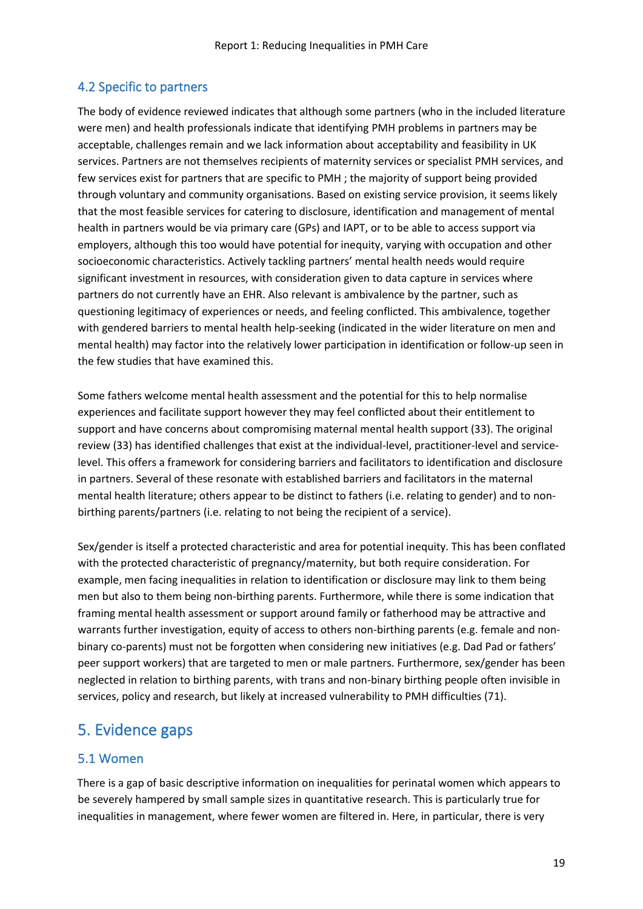#### <span id="page-18-0"></span>4.2 Specific to partners

The body of evidence reviewed indicates that although some partners (who in the included literature were men) and health professionals indicate that identifying PMH problems in partners may be acceptable, challenges remain and we lack information about acceptability and feasibility in UK services. Partners are not themselves recipients of maternity services or specialist PMH services, and few services exist for partners that are specific to PMH ; the majority of support being provided through voluntary and community organisations. Based on existing service provision, it seems likely that the most feasible services for catering to disclosure, identification and management of mental health in partners would be via primary care (GPs) and IAPT, or to be able to access support via employers, although this too would have potential for inequity, varying with occupation and other socioeconomic characteristics. Actively tackling partners' mental health needs would require significant investment in resources, with consideration given to data capture in services where partners do not currently have an EHR. Also relevant is ambivalence by the partner, such as questioning legitimacy of experiences or needs, and feeling conflicted. This ambivalence, together with gendered barriers to mental health help-seeking (indicated in the wider literature on men and mental health) may factor into the relatively lower participation in identification or follow-up seen in the few studies that have examined this.

Some fathers welcome mental health assessment and the potential for this to help normalise experiences and facilitate support however they may feel conflicted about their entitlement to support and have concerns about compromising maternal mental health support (33). The original review (33) has identified challenges that exist at the individual-level, practitioner-level and servicelevel. This offers a framework for considering barriers and facilitators to identification and disclosure in partners. Several of these resonate with established barriers and facilitators in the maternal mental health literature; others appear to be distinct to fathers (i.e. relating to gender) and to nonbirthing parents/partners (i.e. relating to not being the recipient of a service).

Sex/gender is itself a protected characteristic and area for potential inequity. This has been conflated with the protected characteristic of pregnancy/maternity, but both require consideration. For example, men facing inequalities in relation to identification or disclosure may link to them being men but also to them being non-birthing parents. Furthermore, while there is some indication that framing mental health assessment or support around family or fatherhood may be attractive and warrants further investigation, equity of access to others non-birthing parents (e.g. female and nonbinary co-parents) must not be forgotten when considering new initiatives (e.g. Dad Pad or fathers' peer support workers) that are targeted to men or male partners. Furthermore, sex/gender has been neglected in relation to birthing parents, with trans and non-binary birthing people often invisible in services, policy and research, but likely at increased vulnerability to PMH difficulties (71).

### <span id="page-18-1"></span>5. Evidence gaps

#### <span id="page-18-2"></span>5.1 Women

There is a gap of basic descriptive information on inequalities for perinatal women which appears to be severely hampered by small sample sizes in quantitative research. This is particularly true for inequalities in management, where fewer women are filtered in. Here, in particular, there is very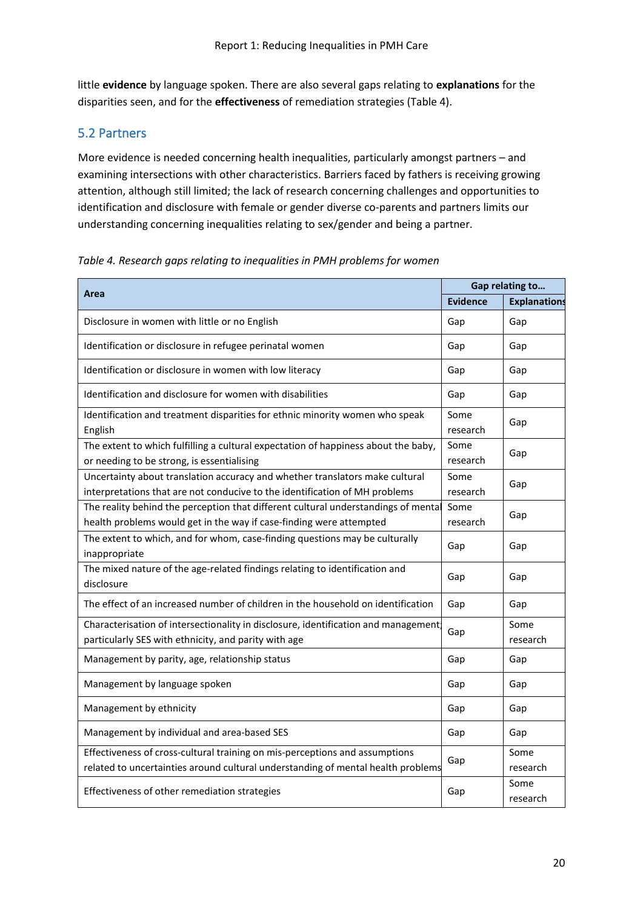little **evidence** by language spoken. There are also several gaps relating to **explanations** for the disparities seen, and for the **effectiveness** of remediation strategies (Table 4).

#### <span id="page-19-0"></span>5.2 Partners

More evidence is needed concerning health inequalities, particularly amongst partners – and examining intersections with other characteristics. Barriers faced by fathers is receiving growing attention, although still limited; the lack of research concerning challenges and opportunities to identification and disclosure with female or gender diverse co-parents and partners limits our understanding concerning inequalities relating to sex/gender and being a partner.

*Table 4. Research gaps relating to inequalities in PMH problems for women*

| Area                                                                                                                                                            |                  | Gap relating to     |  |
|-----------------------------------------------------------------------------------------------------------------------------------------------------------------|------------------|---------------------|--|
|                                                                                                                                                                 | <b>Evidence</b>  | <b>Explanations</b> |  |
| Disclosure in women with little or no English                                                                                                                   |                  | Gap                 |  |
| Identification or disclosure in refugee perinatal women                                                                                                         |                  | Gap                 |  |
| Identification or disclosure in women with low literacy                                                                                                         |                  | Gap                 |  |
| Identification and disclosure for women with disabilities                                                                                                       |                  | Gap                 |  |
| Identification and treatment disparities for ethnic minority women who speak<br>English                                                                         | Some<br>research | Gap                 |  |
| The extent to which fulfilling a cultural expectation of happiness about the baby,<br>or needing to be strong, is essentialising                                | Some<br>research | Gap                 |  |
| Uncertainty about translation accuracy and whether translators make cultural<br>interpretations that are not conducive to the identification of MH problems     | Some<br>research | Gap                 |  |
| The reality behind the perception that different cultural understandings of mental<br>health problems would get in the way if case-finding were attempted       | Some<br>research | Gap                 |  |
| The extent to which, and for whom, case-finding questions may be culturally<br>inappropriate                                                                    | Gap              | Gap                 |  |
| The mixed nature of the age-related findings relating to identification and<br>disclosure                                                                       | Gap              | Gap                 |  |
| The effect of an increased number of children in the household on identification                                                                                | Gap              | Gap                 |  |
| Characterisation of intersectionality in disclosure, identification and management;<br>particularly SES with ethnicity, and parity with age                     | Gap              | Some<br>research    |  |
| Management by parity, age, relationship status                                                                                                                  | Gap              | Gap                 |  |
| Management by language spoken                                                                                                                                   |                  | Gap                 |  |
| Management by ethnicity                                                                                                                                         |                  | Gap                 |  |
| Management by individual and area-based SES                                                                                                                     |                  | Gap                 |  |
| Effectiveness of cross-cultural training on mis-perceptions and assumptions<br>related to uncertainties around cultural understanding of mental health problems | Gap              | Some<br>research    |  |
| Effectiveness of other remediation strategies                                                                                                                   | Gap              | Some<br>research    |  |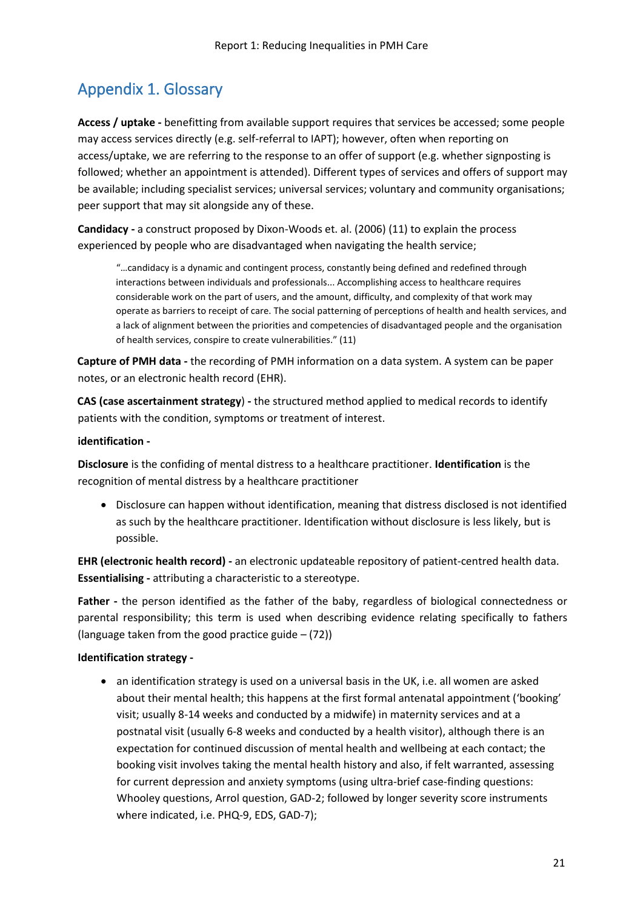## <span id="page-20-0"></span>Appendix 1. Glossary

**Access / uptake -** benefitting from available support requires that services be accessed; some people may access services directly (e.g. self-referral to IAPT); however, often when reporting on access/uptake, we are referring to the response to an offer of support (e.g. whether signposting is followed; whether an appointment is attended). Different types of services and offers of support may be available; including specialist services; universal services; voluntary and community organisations; peer support that may sit alongside any of these.

**Candidacy -** a construct proposed by Dixon-Woods et. al. (2006) (11) to explain the process experienced by people who are disadvantaged when navigating the health service;

"…candidacy is a dynamic and contingent process, constantly being defined and redefined through interactions between individuals and professionals... Accomplishing access to healthcare requires considerable work on the part of users, and the amount, difficulty, and complexity of that work may operate as barriers to receipt of care. The social patterning of perceptions of health and health services, and a lack of alignment between the priorities and competencies of disadvantaged people and the organisation of health services, conspire to create vulnerabilities." (11)

**Capture of PMH data -** the recording of PMH information on a data system. A system can be paper notes, or an electronic health record (EHR).

**CAS (case ascertainment strategy**) **-** the structured method applied to medical records to identify patients with the condition, symptoms or treatment of interest.

#### **identification -**

**Disclosure** is the confiding of mental distress to a healthcare practitioner. **Identification** is the recognition of mental distress by a healthcare practitioner

• Disclosure can happen without identification, meaning that distress disclosed is not identified as such by the healthcare practitioner. Identification without disclosure is less likely, but is possible.

**EHR (electronic health record) -** an electronic updateable repository of patient-centred health data. **Essentialising -** attributing a characteristic to a stereotype.

**Father -** the person identified as the father of the baby, regardless of biological connectedness or parental responsibility; this term is used when describing evidence relating specifically to fathers (language taken from the good practice guide  $-$  (72))

#### **Identification strategy -**

• an identification strategy is used on a universal basis in the UK, i.e. all women are asked about their mental health; this happens at the first formal antenatal appointment ('booking' visit; usually 8-14 weeks and conducted by a midwife) in maternity services and at a postnatal visit (usually 6-8 weeks and conducted by a health visitor), although there is an expectation for continued discussion of mental health and wellbeing at each contact; the booking visit involves taking the mental health history and also, if felt warranted, assessing for current depression and anxiety symptoms (using ultra-brief case-finding questions: Whooley questions, Arrol question, GAD-2; followed by longer severity score instruments where indicated, i.e. PHQ-9, EDS, GAD-7);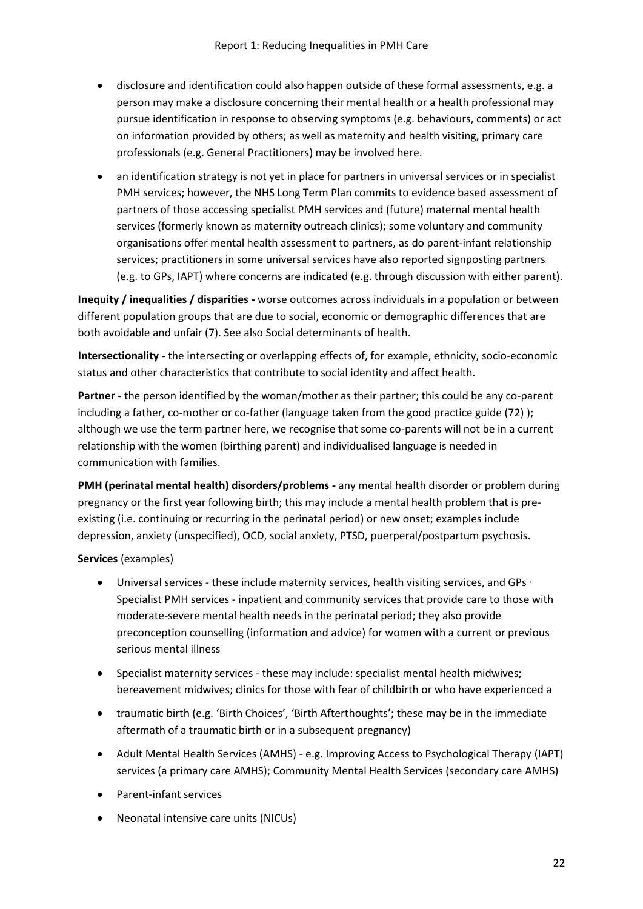- disclosure and identification could also happen outside of these formal assessments, e.g. a person may make a disclosure concerning their mental health or a health professional may pursue identification in response to observing symptoms (e.g. behaviours, comments) or act on information provided by others; as well as maternity and health visiting, primary care professionals (e.g. General Practitioners) may be involved here.
- an identification strategy is not yet in place for partners in universal services or in specialist PMH services; however, the NHS Long Term Plan commits to evidence based assessment of partners of those accessing specialist PMH services and (future) maternal mental health services (formerly known as maternity outreach clinics); some voluntary and community organisations offer mental health assessment to partners, as do parent-infant relationship services; practitioners in some universal services have also reported signposting partners (e.g. to GPs, IAPT) where concerns are indicated (e.g. through discussion with either parent).

**Inequity / inequalities / disparities -** worse outcomes across individuals in a population or between different population groups that are due to social, economic or demographic differences that are both avoidable and unfair (7). See also Social determinants of health.

**Intersectionality -** the intersecting or overlapping effects of, for example, ethnicity, socio-economic status and other characteristics that contribute to social identity and affect health.

**Partner -** the person identified by the woman/mother as their partner; this could be any co-parent including a father, co-mother or co-father (language taken from the good practice guide (72) ); although we use the term partner here, we recognise that some co-parents will not be in a current relationship with the women (birthing parent) and individualised language is needed in communication with families.

**PMH (perinatal mental health) disorders/problems -** any mental health disorder or problem during pregnancy or the first year following birth; this may include a mental health problem that is preexisting (i.e. continuing or recurring in the perinatal period) or new onset; examples include depression, anxiety (unspecified), OCD, social anxiety, PTSD, puerperal/postpartum psychosis.

**Services** (examples)

- Universal services these include maternity services, health visiting services, and GPs ∙ Specialist PMH services - inpatient and community services that provide care to those with moderate-severe mental health needs in the perinatal period; they also provide preconception counselling (information and advice) for women with a current or previous serious mental illness
- Specialist maternity services these may include: specialist mental health midwives; bereavement midwives; clinics for those with fear of childbirth or who have experienced a
- traumatic birth (e.g. 'Birth Choices', 'Birth Afterthoughts'; these may be in the immediate aftermath of a traumatic birth or in a subsequent pregnancy)
- Adult Mental Health Services (AMHS) e.g. Improving Access to Psychological Therapy (IAPT) services (a primary care AMHS); Community Mental Health Services (secondary care AMHS)
- Parent-infant services
- Neonatal intensive care units (NICUs)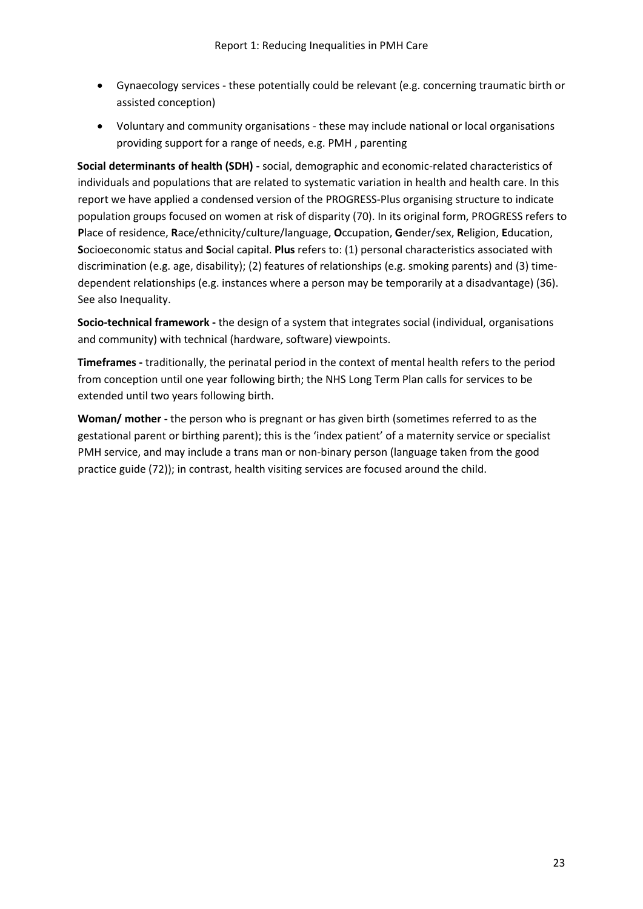- Gynaecology services these potentially could be relevant (e.g. concerning traumatic birth or assisted conception)
- Voluntary and community organisations these may include national or local organisations providing support for a range of needs, e.g. PMH , parenting

**Social determinants of health (SDH) -** social, demographic and economic-related characteristics of individuals and populations that are related to systematic variation in health and health care. In this report we have applied a condensed version of the PROGRESS-Plus organising structure to indicate population groups focused on women at risk of disparity (70). In its original form, PROGRESS refers to **P**lace of residence, **R**ace/ethnicity/culture/language, **O**ccupation, **G**ender/sex, **R**eligion, **E**ducation, **S**ocioeconomic status and **S**ocial capital. **Plus** refers to: (1) personal characteristics associated with discrimination (e.g. age, disability); (2) features of relationships (e.g. smoking parents) and (3) timedependent relationships (e.g. instances where a person may be temporarily at a disadvantage) (36). See also Inequality.

**Socio-technical framework -** the design of a system that integrates social (individual, organisations and community) with technical (hardware, software) viewpoints.

**Timeframes -** traditionally, the perinatal period in the context of mental health refers to the period from conception until one year following birth; the NHS Long Term Plan calls for services to be extended until two years following birth.

**Woman/ mother -** the person who is pregnant or has given birth (sometimes referred to as the gestational parent or birthing parent); this is the 'index patient' of a maternity service or specialist PMH service, and may include a trans man or non-binary person (language taken from the good practice guide (72)); in contrast, health visiting services are focused around the child.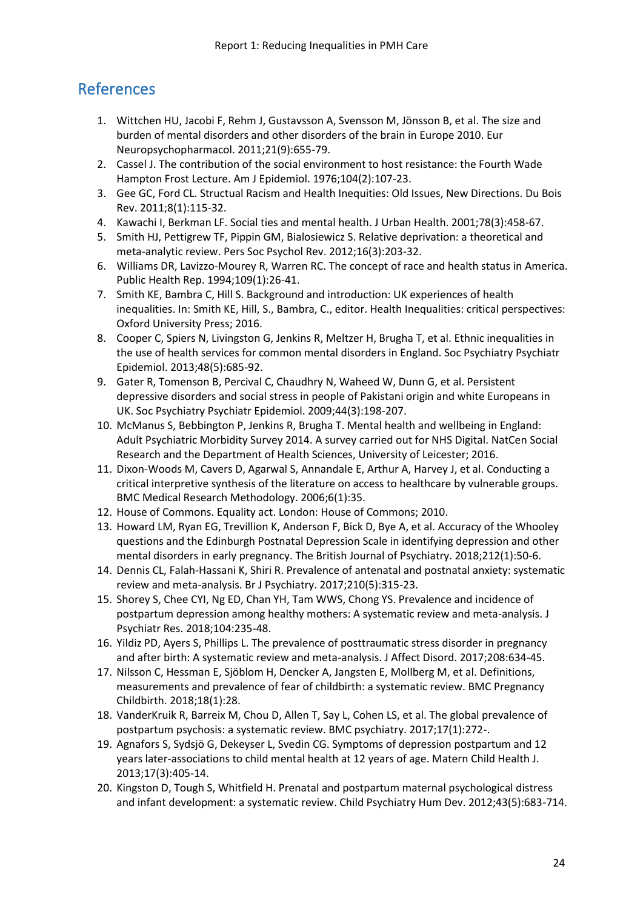## <span id="page-23-0"></span>References

- 1. Wittchen HU, Jacobi F, Rehm J, Gustavsson A, Svensson M, Jönsson B, et al. The size and burden of mental disorders and other disorders of the brain in Europe 2010. Eur Neuropsychopharmacol. 2011;21(9):655-79.
- 2. Cassel J. The contribution of the social environment to host resistance: the Fourth Wade Hampton Frost Lecture. Am J Epidemiol. 1976;104(2):107-23.
- 3. Gee GC, Ford CL. Structual Racism and Health Inequities: Old Issues, New Directions. Du Bois Rev. 2011;8(1):115-32.
- 4. Kawachi I, Berkman LF. Social ties and mental health. J Urban Health. 2001;78(3):458-67.
- 5. Smith HJ, Pettigrew TF, Pippin GM, Bialosiewicz S. Relative deprivation: a theoretical and meta-analytic review. Pers Soc Psychol Rev. 2012;16(3):203-32.
- 6. Williams DR, Lavizzo-Mourey R, Warren RC. The concept of race and health status in America. Public Health Rep. 1994;109(1):26-41.
- 7. Smith KE, Bambra C, Hill S. Background and introduction: UK experiences of health inequalities. In: Smith KE, Hill, S., Bambra, C., editor. Health Inequalities: critical perspectives: Oxford University Press; 2016.
- 8. Cooper C, Spiers N, Livingston G, Jenkins R, Meltzer H, Brugha T, et al. Ethnic inequalities in the use of health services for common mental disorders in England. Soc Psychiatry Psychiatr Epidemiol. 2013;48(5):685-92.
- 9. Gater R, Tomenson B, Percival C, Chaudhry N, Waheed W, Dunn G, et al. Persistent depressive disorders and social stress in people of Pakistani origin and white Europeans in UK. Soc Psychiatry Psychiatr Epidemiol. 2009;44(3):198-207.
- 10. McManus S, Bebbington P, Jenkins R, Brugha T. Mental health and wellbeing in England: Adult Psychiatric Morbidity Survey 2014. A survey carried out for NHS Digital. NatCen Social Research and the Department of Health Sciences, University of Leicester; 2016.
- 11. Dixon-Woods M, Cavers D, Agarwal S, Annandale E, Arthur A, Harvey J, et al. Conducting a critical interpretive synthesis of the literature on access to healthcare by vulnerable groups. BMC Medical Research Methodology. 2006;6(1):35.
- 12. House of Commons. Equality act. London: House of Commons; 2010.
- 13. Howard LM, Ryan EG, Trevillion K, Anderson F, Bick D, Bye A, et al. Accuracy of the Whooley questions and the Edinburgh Postnatal Depression Scale in identifying depression and other mental disorders in early pregnancy. The British Journal of Psychiatry. 2018;212(1):50-6.
- 14. Dennis CL, Falah-Hassani K, Shiri R. Prevalence of antenatal and postnatal anxiety: systematic review and meta-analysis. Br J Psychiatry. 2017;210(5):315-23.
- 15. Shorey S, Chee CYI, Ng ED, Chan YH, Tam WWS, Chong YS. Prevalence and incidence of postpartum depression among healthy mothers: A systematic review and meta-analysis. J Psychiatr Res. 2018;104:235-48.
- 16. Yildiz PD, Ayers S, Phillips L. The prevalence of posttraumatic stress disorder in pregnancy and after birth: A systematic review and meta-analysis. J Affect Disord. 2017;208:634-45.
- 17. Nilsson C, Hessman E, Sjöblom H, Dencker A, Jangsten E, Mollberg M, et al. Definitions, measurements and prevalence of fear of childbirth: a systematic review. BMC Pregnancy Childbirth. 2018;18(1):28.
- 18. VanderKruik R, Barreix M, Chou D, Allen T, Say L, Cohen LS, et al. The global prevalence of postpartum psychosis: a systematic review. BMC psychiatry. 2017;17(1):272-.
- 19. Agnafors S, Sydsjö G, Dekeyser L, Svedin CG. Symptoms of depression postpartum and 12 years later-associations to child mental health at 12 years of age. Matern Child Health J. 2013;17(3):405-14.
- 20. Kingston D, Tough S, Whitfield H. Prenatal and postpartum maternal psychological distress and infant development: a systematic review. Child Psychiatry Hum Dev. 2012;43(5):683-714.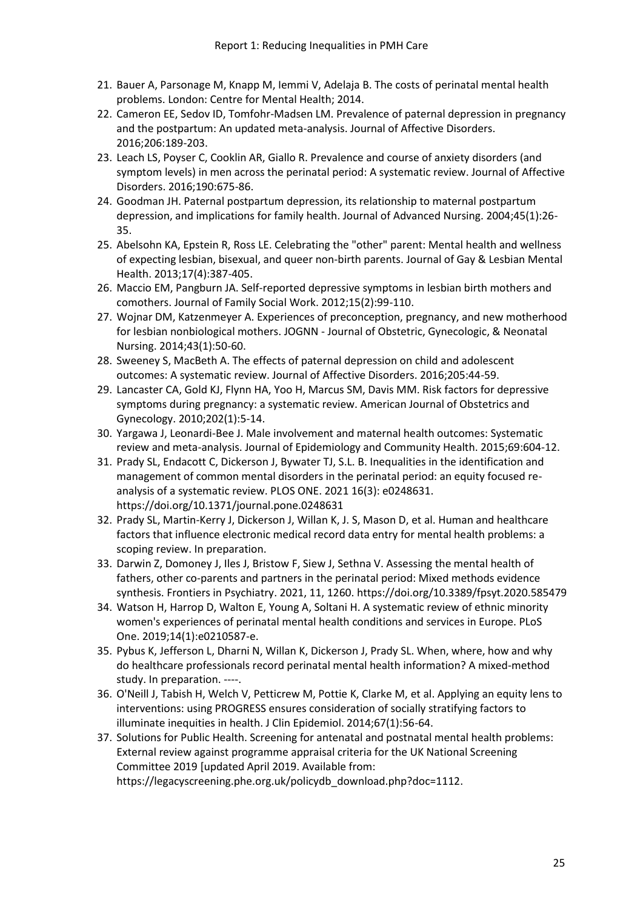- 21. Bauer A, Parsonage M, Knapp M, Iemmi V, Adelaja B. The costs of perinatal mental health problems. London: Centre for Mental Health; 2014.
- 22. Cameron EE, Sedov ID, Tomfohr-Madsen LM. Prevalence of paternal depression in pregnancy and the postpartum: An updated meta-analysis. Journal of Affective Disorders. 2016;206:189-203.
- 23. Leach LS, Poyser C, Cooklin AR, Giallo R. Prevalence and course of anxiety disorders (and symptom levels) in men across the perinatal period: A systematic review. Journal of Affective Disorders. 2016;190:675-86.
- 24. Goodman JH. Paternal postpartum depression, its relationship to maternal postpartum depression, and implications for family health. Journal of Advanced Nursing. 2004;45(1):26- 35.
- 25. Abelsohn KA, Epstein R, Ross LE. Celebrating the "other" parent: Mental health and wellness of expecting lesbian, bisexual, and queer non-birth parents. Journal of Gay & Lesbian Mental Health. 2013;17(4):387-405.
- 26. Maccio EM, Pangburn JA. Self-reported depressive symptoms in lesbian birth mothers and comothers. Journal of Family Social Work. 2012;15(2):99-110.
- 27. Wojnar DM, Katzenmeyer A. Experiences of preconception, pregnancy, and new motherhood for lesbian nonbiological mothers. JOGNN - Journal of Obstetric, Gynecologic, & Neonatal Nursing. 2014;43(1):50-60.
- 28. Sweeney S, MacBeth A. The effects of paternal depression on child and adolescent outcomes: A systematic review. Journal of Affective Disorders. 2016;205:44-59.
- 29. Lancaster CA, Gold KJ, Flynn HA, Yoo H, Marcus SM, Davis MM. Risk factors for depressive symptoms during pregnancy: a systematic review. American Journal of Obstetrics and Gynecology. 2010;202(1):5-14.
- 30. Yargawa J, Leonardi-Bee J. Male involvement and maternal health outcomes: Systematic review and meta-analysis. Journal of Epidemiology and Community Health. 2015;69:604-12.
- 31. Prady SL, Endacott C, Dickerson J, Bywater TJ, S.L. B. Inequalities in the identification and management of common mental disorders in the perinatal period: an equity focused reanalysis of a systematic review. PLOS ONE. 2021 16(3): e0248631. https://doi.org/10.1371/journal.pone.0248631
- 32. Prady SL, Martin-Kerry J, Dickerson J, Willan K, J. S, Mason D, et al. Human and healthcare factors that influence electronic medical record data entry for mental health problems: a scoping review. In preparation.
- 33. Darwin Z, Domoney J, Iles J, Bristow F, Siew J, Sethna V. Assessing the mental health of fathers, other co-parents and partners in the perinatal period: Mixed methods evidence synthesis. Frontiers in Psychiatry. 2021, 11, 1260. https://doi.org/10.3389/fpsyt.2020.585479
- 34. Watson H, Harrop D, Walton E, Young A, Soltani H. A systematic review of ethnic minority women's experiences of perinatal mental health conditions and services in Europe. PLoS One. 2019;14(1):e0210587-e.
- 35. Pybus K, Jefferson L, Dharni N, Willan K, Dickerson J, Prady SL. When, where, how and why do healthcare professionals record perinatal mental health information? A mixed-method study. In preparation. ----.
- 36. O'Neill J, Tabish H, Welch V, Petticrew M, Pottie K, Clarke M, et al. Applying an equity lens to interventions: using PROGRESS ensures consideration of socially stratifying factors to illuminate inequities in health. J Clin Epidemiol. 2014;67(1):56-64.
- 37. Solutions for Public Health. Screening for antenatal and postnatal mental health problems: External review against programme appraisal criteria for the UK National Screening Committee 2019 [updated April 2019. Available from:

https://legacyscreening.phe.org.uk/policydb\_download.php?doc=1112.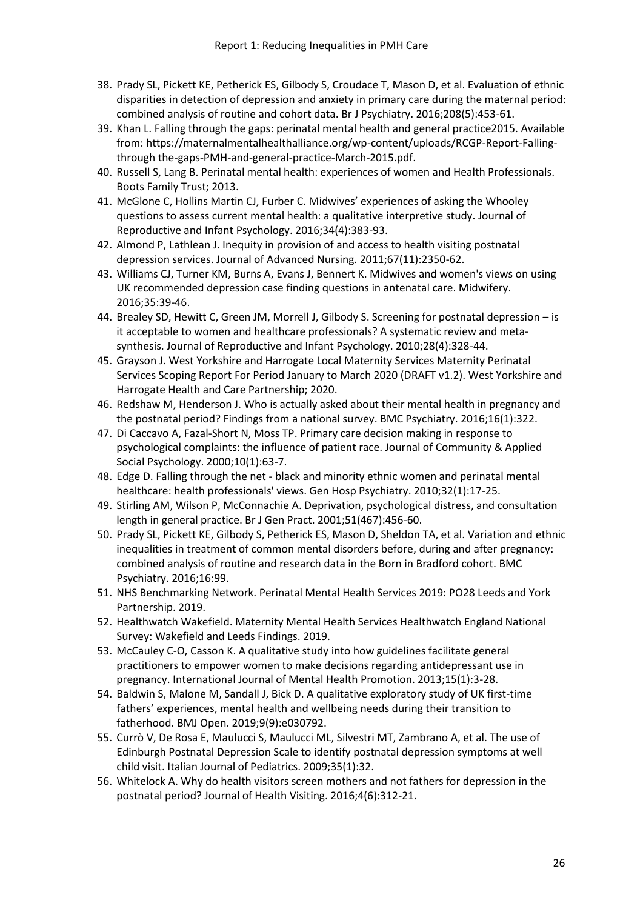- 38. Prady SL, Pickett KE, Petherick ES, Gilbody S, Croudace T, Mason D, et al. Evaluation of ethnic disparities in detection of depression and anxiety in primary care during the maternal period: combined analysis of routine and cohort data. Br J Psychiatry. 2016;208(5):453-61.
- 39. Khan L. Falling through the gaps: perinatal mental health and general practice2015. Available from: https://maternalmentalhealthalliance.org/wp-content/uploads/RCGP-Report-Fallingthrough the-gaps-PMH-and-general-practice-March-2015.pdf.
- 40. Russell S, Lang B. Perinatal mental health: experiences of women and Health Professionals. Boots Family Trust; 2013.
- 41. McGlone C, Hollins Martin CJ, Furber C. Midwives' experiences of asking the Whooley questions to assess current mental health: a qualitative interpretive study. Journal of Reproductive and Infant Psychology. 2016;34(4):383-93.
- 42. Almond P, Lathlean J. Inequity in provision of and access to health visiting postnatal depression services. Journal of Advanced Nursing. 2011;67(11):2350-62.
- 43. Williams CJ, Turner KM, Burns A, Evans J, Bennert K. Midwives and women's views on using UK recommended depression case finding questions in antenatal care. Midwifery. 2016;35:39-46.
- 44. Brealey SD, Hewitt C, Green JM, Morrell J, Gilbody S. Screening for postnatal depression is it acceptable to women and healthcare professionals? A systematic review and meta‐ synthesis. Journal of Reproductive and Infant Psychology. 2010;28(4):328-44.
- 45. Grayson J. West Yorkshire and Harrogate Local Maternity Services Maternity Perinatal Services Scoping Report For Period January to March 2020 (DRAFT v1.2). West Yorkshire and Harrogate Health and Care Partnership; 2020.
- 46. Redshaw M, Henderson J. Who is actually asked about their mental health in pregnancy and the postnatal period? Findings from a national survey. BMC Psychiatry. 2016;16(1):322.
- 47. Di Caccavo A, Fazal-Short N, Moss TP. Primary care decision making in response to psychological complaints: the influence of patient race. Journal of Community & Applied Social Psychology. 2000;10(1):63-7.
- 48. Edge D. Falling through the net black and minority ethnic women and perinatal mental healthcare: health professionals' views. Gen Hosp Psychiatry. 2010;32(1):17-25.
- 49. Stirling AM, Wilson P, McConnachie A. Deprivation, psychological distress, and consultation length in general practice. Br J Gen Pract. 2001;51(467):456-60.
- 50. Prady SL, Pickett KE, Gilbody S, Petherick ES, Mason D, Sheldon TA, et al. Variation and ethnic inequalities in treatment of common mental disorders before, during and after pregnancy: combined analysis of routine and research data in the Born in Bradford cohort. BMC Psychiatry. 2016;16:99.
- 51. NHS Benchmarking Network. Perinatal Mental Health Services 2019: PO28 Leeds and York Partnership. 2019.
- 52. Healthwatch Wakefield. Maternity Mental Health Services Healthwatch England National Survey: Wakefield and Leeds Findings. 2019.
- 53. McCauley C-O, Casson K. A qualitative study into how guidelines facilitate general practitioners to empower women to make decisions regarding antidepressant use in pregnancy. International Journal of Mental Health Promotion. 2013;15(1):3-28.
- 54. Baldwin S, Malone M, Sandall J, Bick D. A qualitative exploratory study of UK first-time fathers' experiences, mental health and wellbeing needs during their transition to fatherhood. BMJ Open. 2019;9(9):e030792.
- 55. Currò V, De Rosa E, Maulucci S, Maulucci ML, Silvestri MT, Zambrano A, et al. The use of Edinburgh Postnatal Depression Scale to identify postnatal depression symptoms at well child visit. Italian Journal of Pediatrics. 2009;35(1):32.
- 56. Whitelock A. Why do health visitors screen mothers and not fathers for depression in the postnatal period? Journal of Health Visiting. 2016;4(6):312-21.